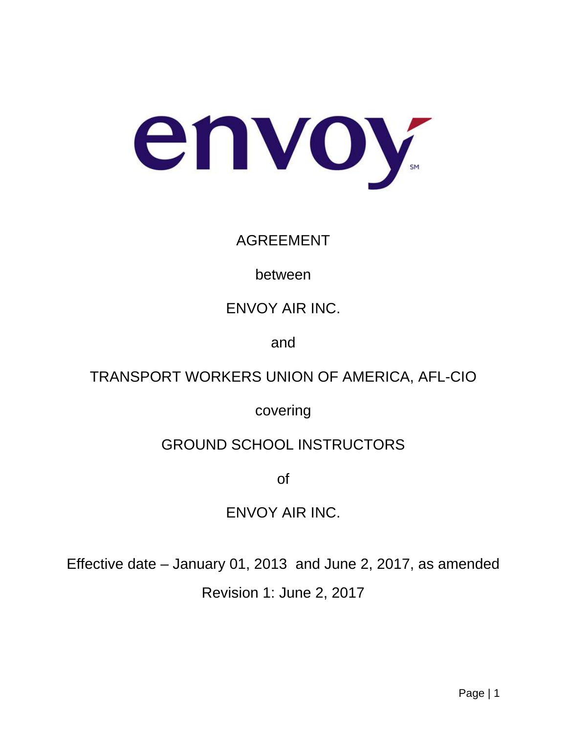

## AGREEMENT

between

# ENVOY AIR INC.

and

# TRANSPORT WORKERS UNION OF AMERICA, AFL-CIO

covering

# GROUND SCHOOL INSTRUCTORS

of

# ENVOY AIR INC.

Effective date – January 01, 2013 and June 2, 2017, as amended Revision 1: June 2, 2017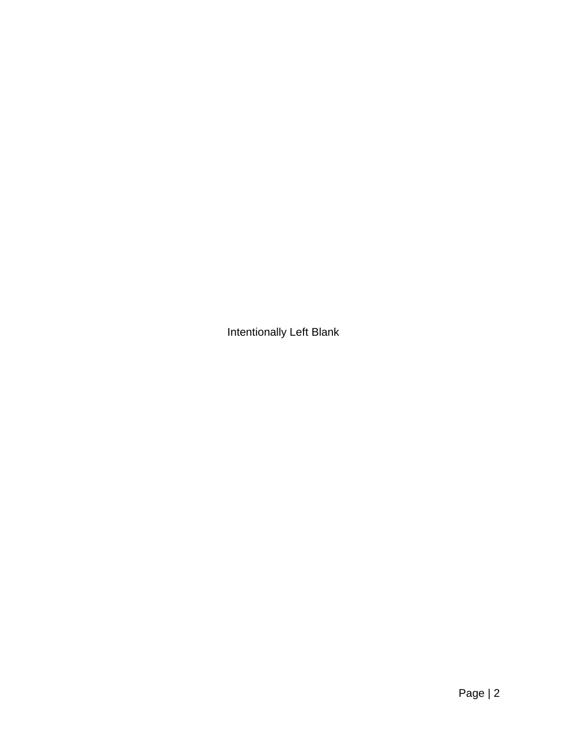Intentionally Left Blank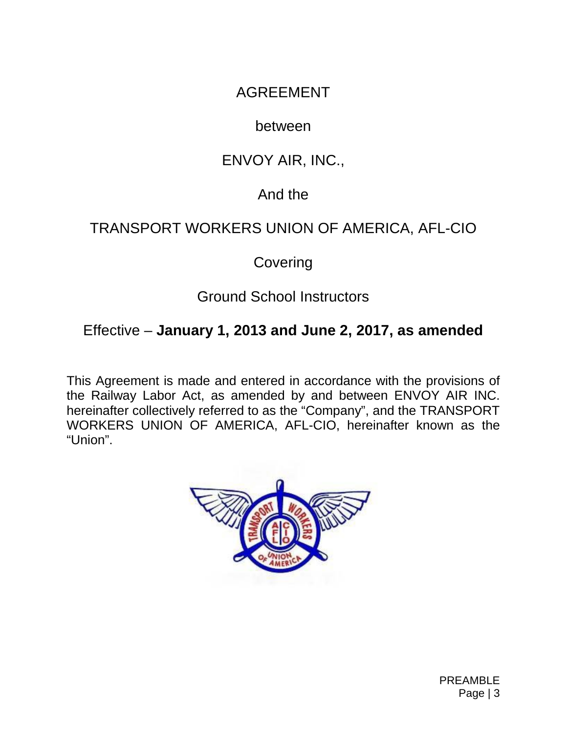# AGREEMENT

## between

# ENVOY AIR, INC.,

# And the

# TRANSPORT WORKERS UNION OF AMERICA, AFL-CIO

# Covering

# Ground School Instructors

# Effective – **January 1, 2013 and June 2, 2017, as amended**

This Agreement is made and entered in accordance with the provisions of the Railway Labor Act, as amended by and between ENVOY AIR INC. hereinafter collectively referred to as the "Company", and the TRANSPORT WORKERS UNION OF AMERICA, AFL-CIO, hereinafter known as the "Union".

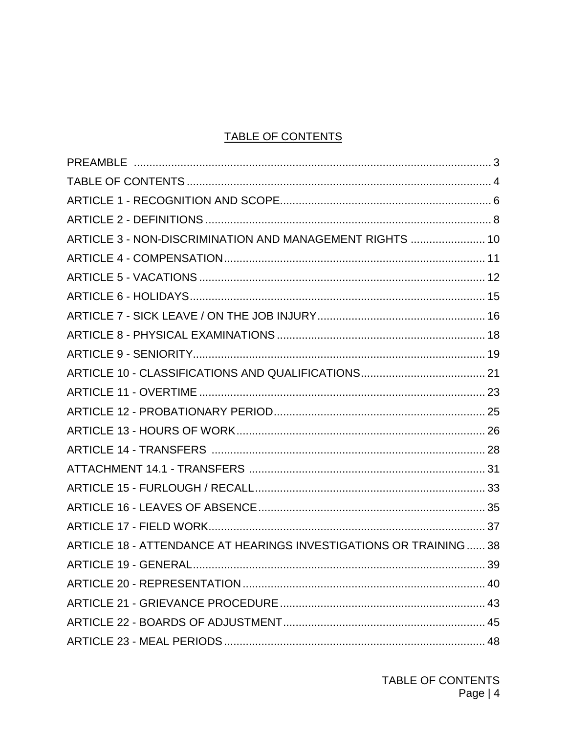## TABLE OF CONTENTS

<span id="page-3-0"></span>

| ARTICLE 3 - NON-DISCRIMINATION AND MANAGEMENT RIGHTS  10          |  |
|-------------------------------------------------------------------|--|
|                                                                   |  |
|                                                                   |  |
|                                                                   |  |
|                                                                   |  |
|                                                                   |  |
|                                                                   |  |
|                                                                   |  |
|                                                                   |  |
|                                                                   |  |
|                                                                   |  |
|                                                                   |  |
|                                                                   |  |
|                                                                   |  |
|                                                                   |  |
|                                                                   |  |
| ARTICLE 18 - ATTENDANCE AT HEARINGS INVESTIGATIONS OR TRAINING 38 |  |
|                                                                   |  |
|                                                                   |  |
|                                                                   |  |
|                                                                   |  |
|                                                                   |  |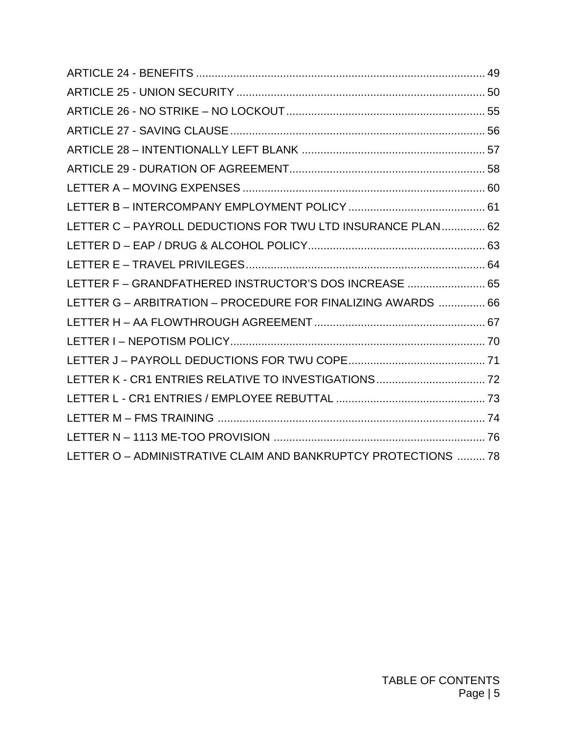| LETTER C - PAYROLL DEDUCTIONS FOR TWU LTD INSURANCE PLAN 62    |  |
|----------------------------------------------------------------|--|
|                                                                |  |
|                                                                |  |
| LETTER F-GRANDFATHERED INSTRUCTOR'S DOS INCREASE  65           |  |
| LETTER G - ARBITRATION - PROCEDURE FOR FINALIZING AWARDS  66   |  |
|                                                                |  |
|                                                                |  |
|                                                                |  |
|                                                                |  |
|                                                                |  |
|                                                                |  |
|                                                                |  |
| LETTER O - ADMINISTRATIVE CLAIM AND BANKRUPTCY PROTECTIONS  78 |  |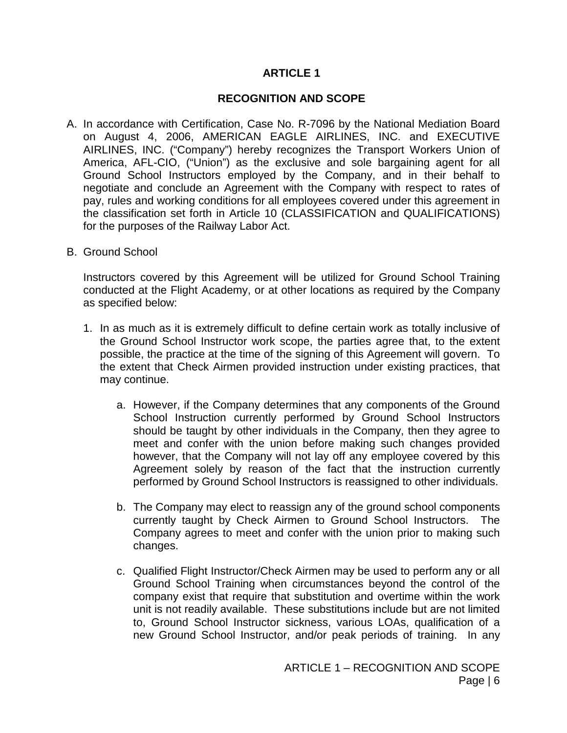#### **RECOGNITION AND SCOPE**

- A. In accordance with Certification, Case No. R-7096 by the National Mediation Board on August 4, 2006, AMERICAN EAGLE AIRLINES, INC. and EXECUTIVE AIRLINES, INC. ("Company") hereby recognizes the Transport Workers Union of America, AFL-CIO, ("Union") as the exclusive and sole bargaining agent for all Ground School Instructors employed by the Company, and in their behalf to negotiate and conclude an Agreement with the Company with respect to rates of pay, rules and working conditions for all employees covered under this agreement in the classification set forth in Article 10 (CLASSIFICATION and QUALIFICATIONS) for the purposes of the Railway Labor Act.
- B. Ground School

Instructors covered by this Agreement will be utilized for Ground School Training conducted at the Flight Academy, or at other locations as required by the Company as specified below:

- 1. In as much as it is extremely difficult to define certain work as totally inclusive of the Ground School Instructor work scope, the parties agree that, to the extent possible, the practice at the time of the signing of this Agreement will govern. To the extent that Check Airmen provided instruction under existing practices, that may continue.
	- a. However, if the Company determines that any components of the Ground School Instruction currently performed by Ground School Instructors should be taught by other individuals in the Company, then they agree to meet and confer with the union before making such changes provided however, that the Company will not lay off any employee covered by this Agreement solely by reason of the fact that the instruction currently performed by Ground School Instructors is reassigned to other individuals.
	- b. The Company may elect to reassign any of the ground school components currently taught by Check Airmen to Ground School Instructors. The Company agrees to meet and confer with the union prior to making such changes.
	- c. Qualified Flight Instructor/Check Airmen may be used to perform any or all Ground School Training when circumstances beyond the control of the company exist that require that substitution and overtime within the work unit is not readily available. These substitutions include but are not limited to, Ground School Instructor sickness, various LOAs, qualification of a new Ground School Instructor, and/or peak periods of training. In any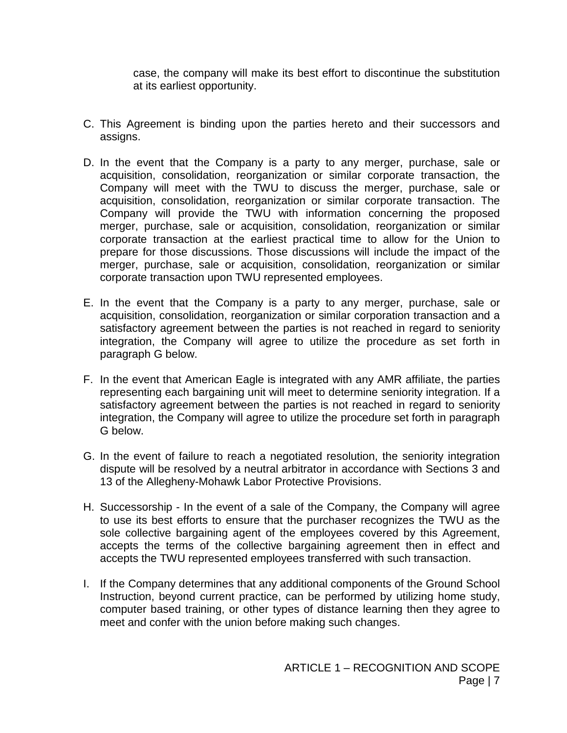case, the company will make its best effort to discontinue the substitution at its earliest opportunity.

- C. This Agreement is binding upon the parties hereto and their successors and assigns.
- D. In the event that the Company is a party to any merger, purchase, sale or acquisition, consolidation, reorganization or similar corporate transaction, the Company will meet with the TWU to discuss the merger, purchase, sale or acquisition, consolidation, reorganization or similar corporate transaction. The Company will provide the TWU with information concerning the proposed merger, purchase, sale or acquisition, consolidation, reorganization or similar corporate transaction at the earliest practical time to allow for the Union to prepare for those discussions. Those discussions will include the impact of the merger, purchase, sale or acquisition, consolidation, reorganization or similar corporate transaction upon TWU represented employees.
- E. In the event that the Company is a party to any merger, purchase, sale or acquisition, consolidation, reorganization or similar corporation transaction and a satisfactory agreement between the parties is not reached in regard to seniority integration, the Company will agree to utilize the procedure as set forth in paragraph G below.
- F. In the event that American Eagle is integrated with any AMR affiliate, the parties representing each bargaining unit will meet to determine seniority integration. If a satisfactory agreement between the parties is not reached in regard to seniority integration, the Company will agree to utilize the procedure set forth in paragraph G below.
- G. In the event of failure to reach a negotiated resolution, the seniority integration dispute will be resolved by a neutral arbitrator in accordance with Sections 3 and 13 of the Allegheny-Mohawk Labor Protective Provisions.
- H. Successorship In the event of a sale of the Company, the Company will agree to use its best efforts to ensure that the purchaser recognizes the TWU as the sole collective bargaining agent of the employees covered by this Agreement, accepts the terms of the collective bargaining agreement then in effect and accepts the TWU represented employees transferred with such transaction.
- I. If the Company determines that any additional components of the Ground School Instruction, beyond current practice, can be performed by utilizing home study, computer based training, or other types of distance learning then they agree to meet and confer with the union before making such changes.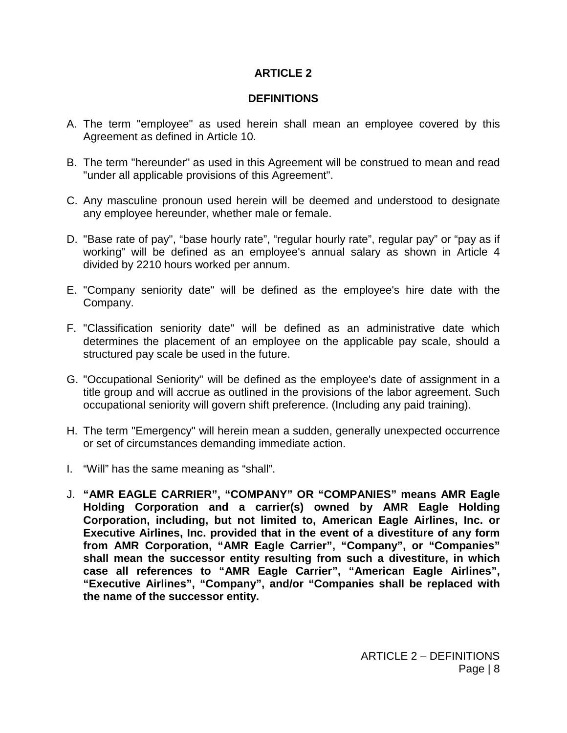#### **DEFINITIONS**

- A. The term "employee" as used herein shall mean an employee covered by this Agreement as defined in Article 10.
- B. The term "hereunder" as used in this Agreement will be construed to mean and read "under all applicable provisions of this Agreement".
- C. Any masculine pronoun used herein will be deemed and understood to designate any employee hereunder, whether male or female.
- D. "Base rate of pay", "base hourly rate", "regular hourly rate", regular pay" or "pay as if working" will be defined as an employee's annual salary as shown in Article 4 divided by 2210 hours worked per annum.
- E. "Company seniority date" will be defined as the employee's hire date with the Company.
- F. "Classification seniority date" will be defined as an administrative date which determines the placement of an employee on the applicable pay scale, should a structured pay scale be used in the future.
- G. "Occupational Seniority" will be defined as the employee's date of assignment in a title group and will accrue as outlined in the provisions of the labor agreement. Such occupational seniority will govern shift preference. (Including any paid training).
- H. The term "Emergency" will herein mean a sudden, generally unexpected occurrence or set of circumstances demanding immediate action.
- I. "Will" has the same meaning as "shall".
- J. **"AMR EAGLE CARRIER", "COMPANY" OR "COMPANIES" means AMR Eagle Holding Corporation and a carrier(s) owned by AMR Eagle Holding Corporation, including, but not limited to, American Eagle Airlines, Inc. or Executive Airlines, Inc. provided that in the event of a divestiture of any form from AMR Corporation, "AMR Eagle Carrier", "Company", or "Companies" shall mean the successor entity resulting from such a divestiture, in which case all references to "AMR Eagle Carrier", "American Eagle Airlines", "Executive Airlines", "Company", and/or "Companies shall be replaced with the name of the successor entity.**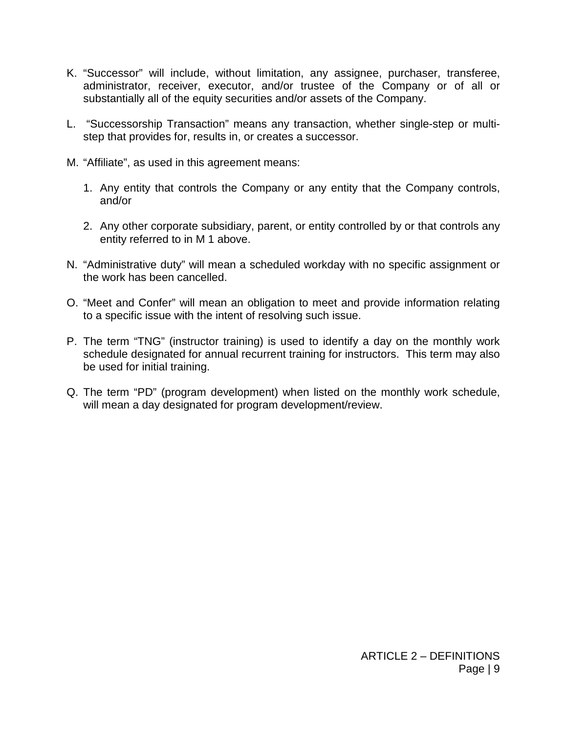- K. "Successor" will include, without limitation, any assignee, purchaser, transferee, administrator, receiver, executor, and/or trustee of the Company or of all or substantially all of the equity securities and/or assets of the Company.
- L. "Successorship Transaction" means any transaction, whether single-step or multistep that provides for, results in, or creates a successor.
- M. "Affiliate", as used in this agreement means:
	- 1. Any entity that controls the Company or any entity that the Company controls, and/or
	- 2. Any other corporate subsidiary, parent, or entity controlled by or that controls any entity referred to in M 1 above.
- N. "Administrative duty" will mean a scheduled workday with no specific assignment or the work has been cancelled.
- O. "Meet and Confer" will mean an obligation to meet and provide information relating to a specific issue with the intent of resolving such issue.
- P. The term "TNG" (instructor training) is used to identify a day on the monthly work schedule designated for annual recurrent training for instructors. This term may also be used for initial training.
- Q. The term "PD" (program development) when listed on the monthly work schedule, will mean a day designated for program development/review.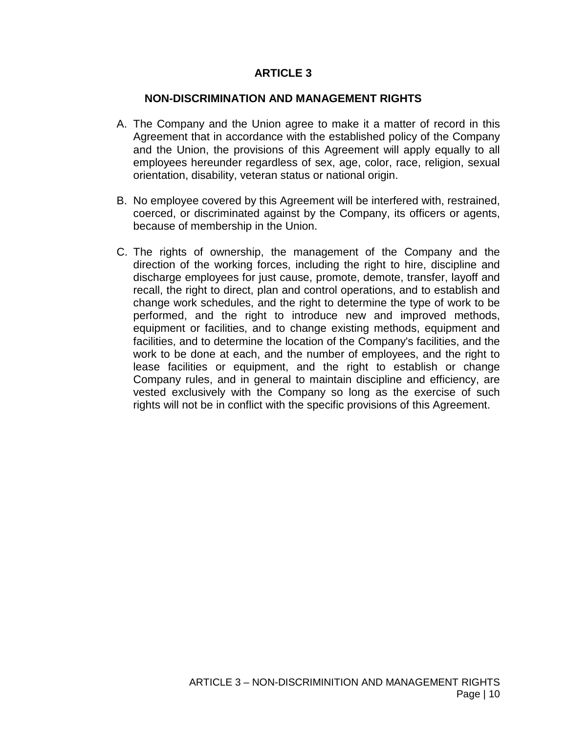#### **NON-DISCRIMINATION AND MANAGEMENT RIGHTS**

- A. The Company and the Union agree to make it a matter of record in this Agreement that in accordance with the established policy of the Company and the Union, the provisions of this Agreement will apply equally to all employees hereunder regardless of sex, age, color, race, religion, sexual orientation, disability, veteran status or national origin.
- B. No employee covered by this Agreement will be interfered with, restrained, coerced, or discriminated against by the Company, its officers or agents, because of membership in the Union.
- C. The rights of ownership, the management of the Company and the direction of the working forces, including the right to hire, discipline and discharge employees for just cause, promote, demote, transfer, layoff and recall, the right to direct, plan and control operations, and to establish and change work schedules, and the right to determine the type of work to be performed, and the right to introduce new and improved methods, equipment or facilities, and to change existing methods, equipment and facilities, and to determine the location of the Company's facilities, and the work to be done at each, and the number of employees, and the right to lease facilities or equipment, and the right to establish or change Company rules, and in general to maintain discipline and efficiency, are vested exclusively with the Company so long as the exercise of such rights will not be in conflict with the specific provisions of this Agreement.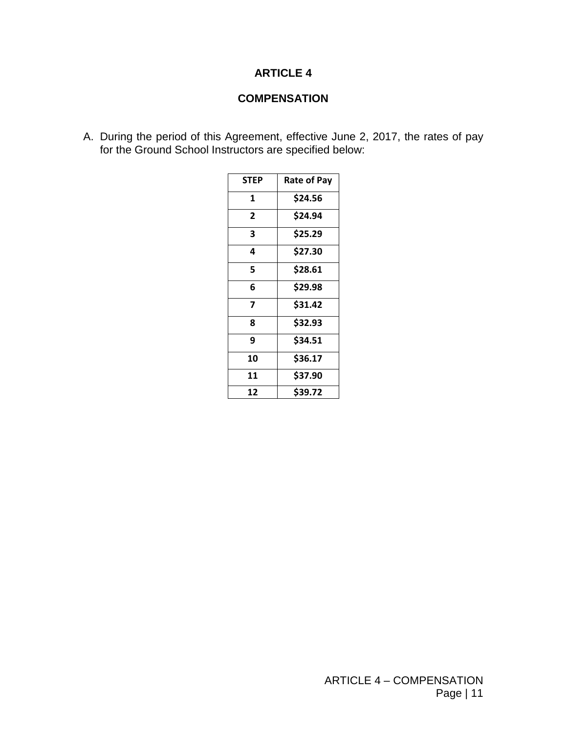## **COMPENSATION**

A. During the period of this Agreement, effective June 2, 2017, the rates of pay for the Ground School Instructors are specified below:

| STEP | <b>Rate of Pay</b> |  |  |  |
|------|--------------------|--|--|--|
| 1    | \$24.56            |  |  |  |
| 2    | \$24.94            |  |  |  |
| 3    | \$25.29            |  |  |  |
| 4    | \$27.30            |  |  |  |
| 5    | \$28.61            |  |  |  |
| 6    | \$29.98            |  |  |  |
| 7    | \$31.42            |  |  |  |
| 8    | \$32.93            |  |  |  |
| 9    | \$34.51            |  |  |  |
| 10   | \$36.17            |  |  |  |
| 11   | \$37.90            |  |  |  |
| 12   | \$39.72            |  |  |  |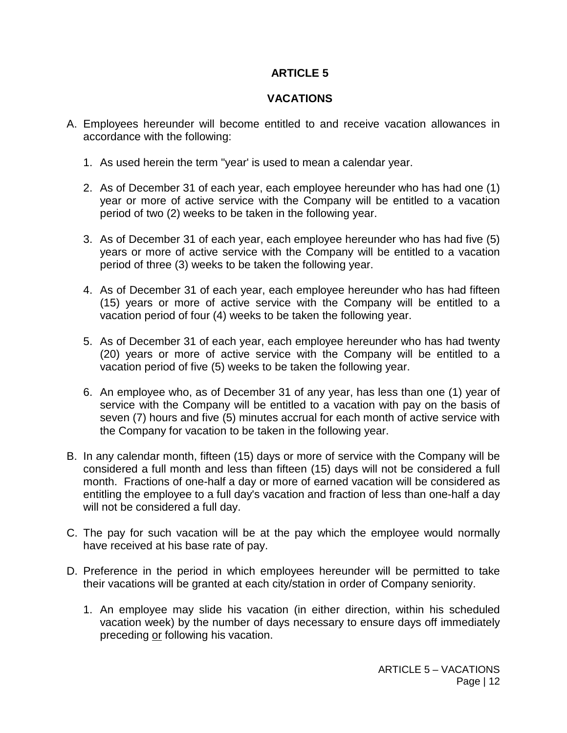## **VACATIONS**

- A. Employees hereunder will become entitled to and receive vacation allowances in accordance with the following:
	- 1. As used herein the term "year' is used to mean a calendar year.
	- 2. As of December 31 of each year, each employee hereunder who has had one (1) year or more of active service with the Company will be entitled to a vacation period of two (2) weeks to be taken in the following year.
	- 3. As of December 31 of each year, each employee hereunder who has had five (5) years or more of active service with the Company will be entitled to a vacation period of three (3) weeks to be taken the following year.
	- 4. As of December 31 of each year, each employee hereunder who has had fifteen (15) years or more of active service with the Company will be entitled to a vacation period of four (4) weeks to be taken the following year.
	- 5. As of December 31 of each year, each employee hereunder who has had twenty (20) years or more of active service with the Company will be entitled to a vacation period of five (5) weeks to be taken the following year.
	- 6. An employee who, as of December 31 of any year, has less than one (1) year of service with the Company will be entitled to a vacation with pay on the basis of seven (7) hours and five (5) minutes accrual for each month of active service with the Company for vacation to be taken in the following year.
- B. In any calendar month, fifteen (15) days or more of service with the Company will be considered a full month and less than fifteen (15) days will not be considered a full month. Fractions of one-half a day or more of earned vacation will be considered as entitling the employee to a full day's vacation and fraction of less than one-half a day will not be considered a full day.
- C. The pay for such vacation will be at the pay which the employee would normally have received at his base rate of pay.
- D. Preference in the period in which employees hereunder will be permitted to take their vacations will be granted at each city/station in order of Company seniority.
	- 1. An employee may slide his vacation (in either direction, within his scheduled vacation week) by the number of days necessary to ensure days off immediately preceding or following his vacation.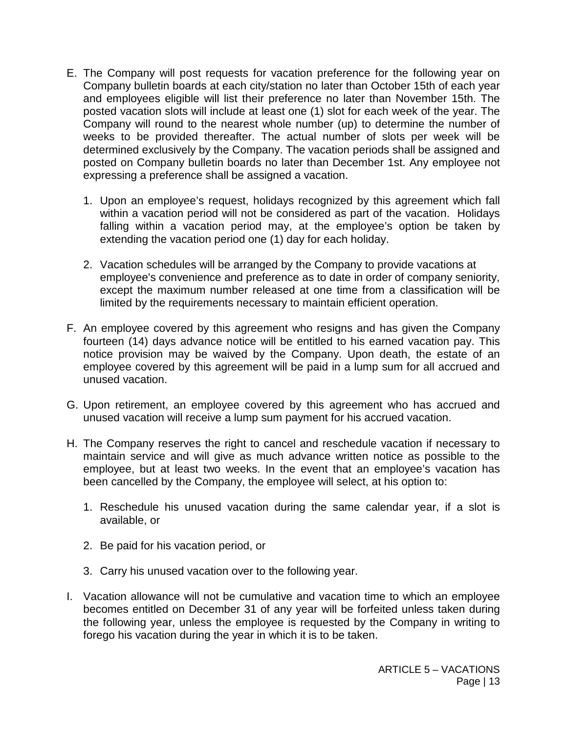- E. The Company will post requests for vacation preference for the following year on Company bulletin boards at each city/station no later than October 15th of each year and employees eligible will list their preference no later than November 15th. The posted vacation slots will include at least one (1) slot for each week of the year. The Company will round to the nearest whole number (up) to determine the number of weeks to be provided thereafter. The actual number of slots per week will be determined exclusively by the Company. The vacation periods shall be assigned and posted on Company bulletin boards no later than December 1st. Any employee not expressing a preference shall be assigned a vacation.
	- 1. Upon an employee's request, holidays recognized by this agreement which fall within a vacation period will not be considered as part of the vacation. Holidays falling within a vacation period may, at the employee's option be taken by extending the vacation period one (1) day for each holiday.
	- 2. Vacation schedules will be arranged by the Company to provide vacations at employee's convenience and preference as to date in order of company seniority, except the maximum number released at one time from a classification will be limited by the requirements necessary to maintain efficient operation.
- F. An employee covered by this agreement who resigns and has given the Company fourteen (14) days advance notice will be entitled to his earned vacation pay. This notice provision may be waived by the Company. Upon death, the estate of an employee covered by this agreement will be paid in a lump sum for all accrued and unused vacation.
- G. Upon retirement, an employee covered by this agreement who has accrued and unused vacation will receive a lump sum payment for his accrued vacation.
- H. The Company reserves the right to cancel and reschedule vacation if necessary to maintain service and will give as much advance written notice as possible to the employee, but at least two weeks. In the event that an employee's vacation has been cancelled by the Company, the employee will select, at his option to:
	- 1. Reschedule his unused vacation during the same calendar year, if a slot is available, or
	- 2. Be paid for his vacation period, or
	- 3. Carry his unused vacation over to the following year.
- I. Vacation allowance will not be cumulative and vacation time to which an employee becomes entitled on December 31 of any year will be forfeited unless taken during the following year, unless the employee is requested by the Company in writing to forego his vacation during the year in which it is to be taken.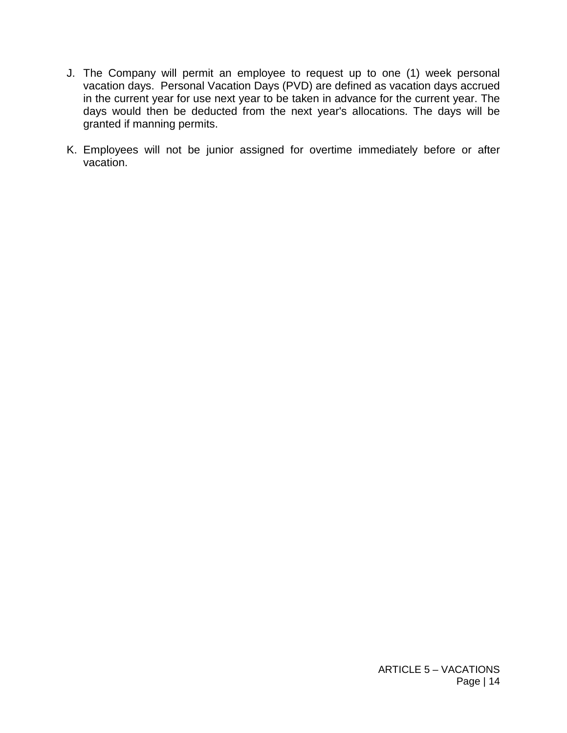- J. The Company will permit an employee to request up to one (1) week personal vacation days. Personal Vacation Days (PVD) are defined as vacation days accrued in the current year for use next year to be taken in advance for the current year. The days would then be deducted from the next year's allocations. The days will be granted if manning permits.
- K. Employees will not be junior assigned for overtime immediately before or after vacation.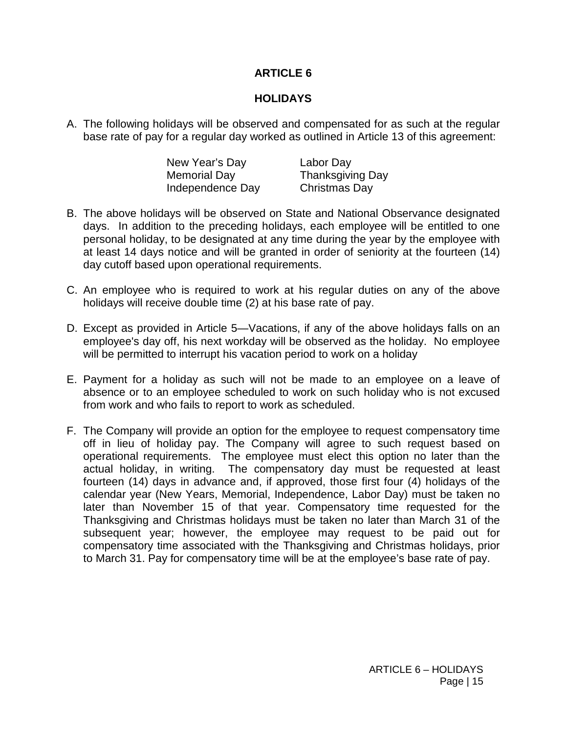#### **HOLIDAYS**

A. The following holidays will be observed and compensated for as such at the regular base rate of pay for a regular day worked as outlined in Article 13 of this agreement:

| New Year's Day      | Labor Day               |
|---------------------|-------------------------|
| <b>Memorial Day</b> | <b>Thanksgiving Day</b> |
| Independence Day    | Christmas Day           |

- B. The above holidays will be observed on State and National Observance designated days. In addition to the preceding holidays, each employee will be entitled to one personal holiday, to be designated at any time during the year by the employee with at least 14 days notice and will be granted in order of seniority at the fourteen (14) day cutoff based upon operational requirements.
- C. An employee who is required to work at his regular duties on any of the above holidays will receive double time (2) at his base rate of pay.
- D. Except as provided in Article 5—Vacations, if any of the above holidays falls on an employee's day off, his next workday will be observed as the holiday. No employee will be permitted to interrupt his vacation period to work on a holiday
- E. Payment for a holiday as such will not be made to an employee on a leave of absence or to an employee scheduled to work on such holiday who is not excused from work and who fails to report to work as scheduled.
- F. The Company will provide an option for the employee to request compensatory time off in lieu of holiday pay. The Company will agree to such request based on operational requirements. The employee must elect this option no later than the actual holiday, in writing. The compensatory day must be requested at least fourteen (14) days in advance and, if approved, those first four (4) holidays of the calendar year (New Years, Memorial, Independence, Labor Day) must be taken no later than November 15 of that year. Compensatory time requested for the Thanksgiving and Christmas holidays must be taken no later than March 31 of the subsequent year; however, the employee may request to be paid out for compensatory time associated with the Thanksgiving and Christmas holidays, prior to March 31. Pay for compensatory time will be at the employee's base rate of pay.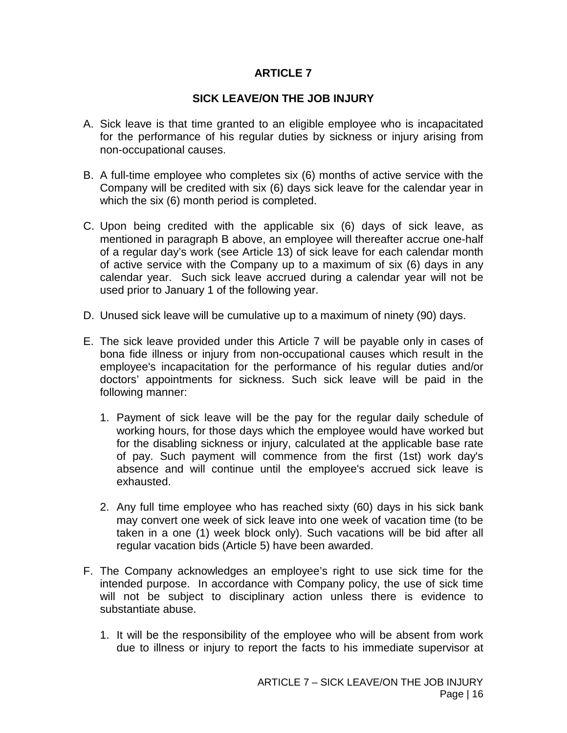### **SICK LEAVE/ON THE JOB INJURY**

- A. Sick leave is that time granted to an eligible employee who is incapacitated for the performance of his regular duties by sickness or injury arising from non-occupational causes.
- B. A full-time employee who completes six (6) months of active service with the Company will be credited with six (6) days sick leave for the calendar year in which the six (6) month period is completed.
- C. Upon being credited with the applicable six (6) days of sick leave, as mentioned in paragraph B above, an employee will thereafter accrue one-half of a regular day's work (see Article 13) of sick leave for each calendar month of active service with the Company up to a maximum of six (6) days in any calendar year. Such sick leave accrued during a calendar year will not be used prior to January 1 of the following year.
- D. Unused sick leave will be cumulative up to a maximum of ninety (90) days.
- E. The sick leave provided under this Article 7 will be payable only in cases of bona fide illness or injury from non-occupational causes which result in the employee's incapacitation for the performance of his regular duties and/or doctors' appointments for sickness. Such sick leave will be paid in the following manner:
	- 1. Payment of sick leave will be the pay for the regular daily schedule of working hours, for those days which the employee would have worked but for the disabling sickness or injury, calculated at the applicable base rate of pay. Such payment will commence from the first (1st) work day's absence and will continue until the employee's accrued sick leave is exhausted.
	- 2. Any full time employee who has reached sixty (60) days in his sick bank may convert one week of sick leave into one week of vacation time (to be taken in a one (1) week block only). Such vacations will be bid after all regular vacation bids (Article 5) have been awarded.
- F. The Company acknowledges an employee's right to use sick time for the intended purpose. In accordance with Company policy, the use of sick time will not be subject to disciplinary action unless there is evidence to substantiate abuse.
	- 1. It will be the responsibility of the employee who will be absent from work due to illness or injury to report the facts to his immediate supervisor at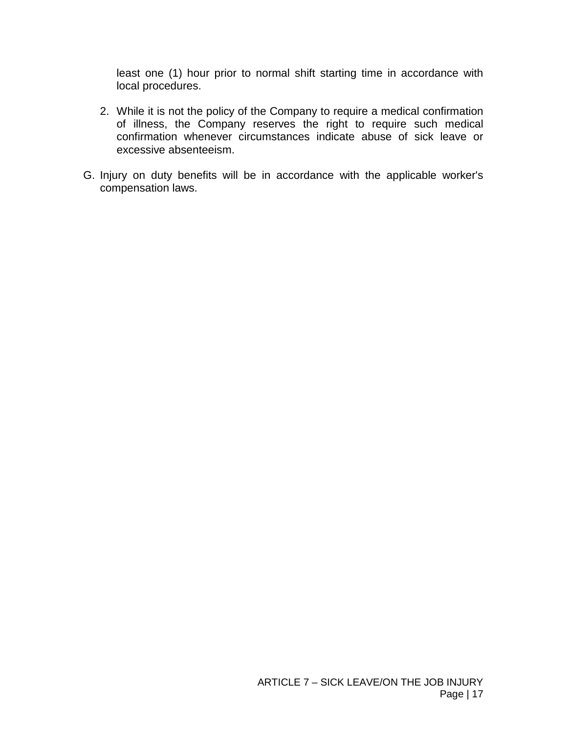least one (1) hour prior to normal shift starting time in accordance with local procedures.

- 2. While it is not the policy of the Company to require a medical confirmation of illness, the Company reserves the right to require such medical confirmation whenever circumstances indicate abuse of sick leave or excessive absenteeism.
- G. Injury on duty benefits will be in accordance with the applicable worker's compensation laws.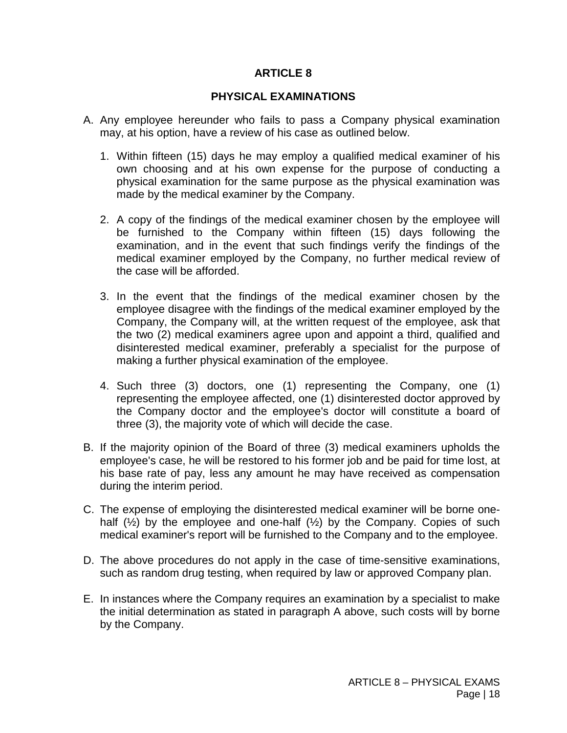#### **PHYSICAL EXAMINATIONS**

- A. Any employee hereunder who fails to pass a Company physical examination may, at his option, have a review of his case as outlined below.
	- 1. Within fifteen (15) days he may employ a qualified medical examiner of his own choosing and at his own expense for the purpose of conducting a physical examination for the same purpose as the physical examination was made by the medical examiner by the Company.
	- 2. A copy of the findings of the medical examiner chosen by the employee will be furnished to the Company within fifteen (15) days following the examination, and in the event that such findings verify the findings of the medical examiner employed by the Company, no further medical review of the case will be afforded.
	- 3. In the event that the findings of the medical examiner chosen by the employee disagree with the findings of the medical examiner employed by the Company, the Company will, at the written request of the employee, ask that the two (2) medical examiners agree upon and appoint a third, qualified and disinterested medical examiner, preferably a specialist for the purpose of making a further physical examination of the employee.
	- 4. Such three (3) doctors, one (1) representing the Company, one (1) representing the employee affected, one (1) disinterested doctor approved by the Company doctor and the employee's doctor will constitute a board of three (3), the majority vote of which will decide the case.
- B. If the majority opinion of the Board of three (3) medical examiners upholds the employee's case, he will be restored to his former job and be paid for time lost, at his base rate of pay, less any amount he may have received as compensation during the interim period.
- C. The expense of employing the disinterested medical examiner will be borne onehalf  $(\frac{1}{2})$  by the employee and one-half  $(\frac{1}{2})$  by the Company. Copies of such medical examiner's report will be furnished to the Company and to the employee.
- D. The above procedures do not apply in the case of time-sensitive examinations, such as random drug testing, when required by law or approved Company plan.
- E. In instances where the Company requires an examination by a specialist to make the initial determination as stated in paragraph A above, such costs will by borne by the Company.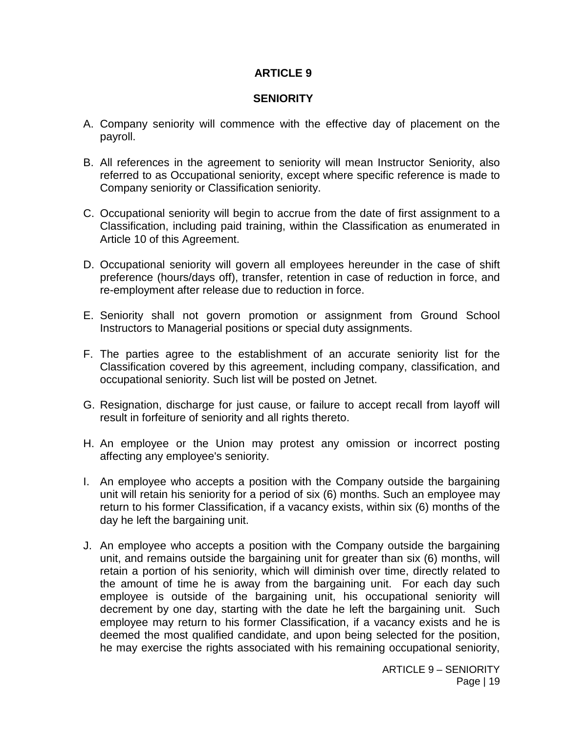#### **SENIORITY**

- A. Company seniority will commence with the effective day of placement on the payroll.
- B. All references in the agreement to seniority will mean Instructor Seniority, also referred to as Occupational seniority, except where specific reference is made to Company seniority or Classification seniority.
- C. Occupational seniority will begin to accrue from the date of first assignment to a Classification, including paid training, within the Classification as enumerated in Article 10 of this Agreement.
- D. Occupational seniority will govern all employees hereunder in the case of shift preference (hours/days off), transfer, retention in case of reduction in force, and re-employment after release due to reduction in force.
- E. Seniority shall not govern promotion or assignment from Ground School Instructors to Managerial positions or special duty assignments.
- F. The parties agree to the establishment of an accurate seniority list for the Classification covered by this agreement, including company, classification, and occupational seniority. Such list will be posted on Jetnet.
- G. Resignation, discharge for just cause, or failure to accept recall from layoff will result in forfeiture of seniority and all rights thereto.
- H. An employee or the Union may protest any omission or incorrect posting affecting any employee's seniority.
- I. An employee who accepts a position with the Company outside the bargaining unit will retain his seniority for a period of six (6) months. Such an employee may return to his former Classification, if a vacancy exists, within six (6) months of the day he left the bargaining unit.
- J. An employee who accepts a position with the Company outside the bargaining unit, and remains outside the bargaining unit for greater than six (6) months, will retain a portion of his seniority, which will diminish over time, directly related to the amount of time he is away from the bargaining unit. For each day such employee is outside of the bargaining unit, his occupational seniority will decrement by one day, starting with the date he left the bargaining unit. Such employee may return to his former Classification, if a vacancy exists and he is deemed the most qualified candidate, and upon being selected for the position, he may exercise the rights associated with his remaining occupational seniority,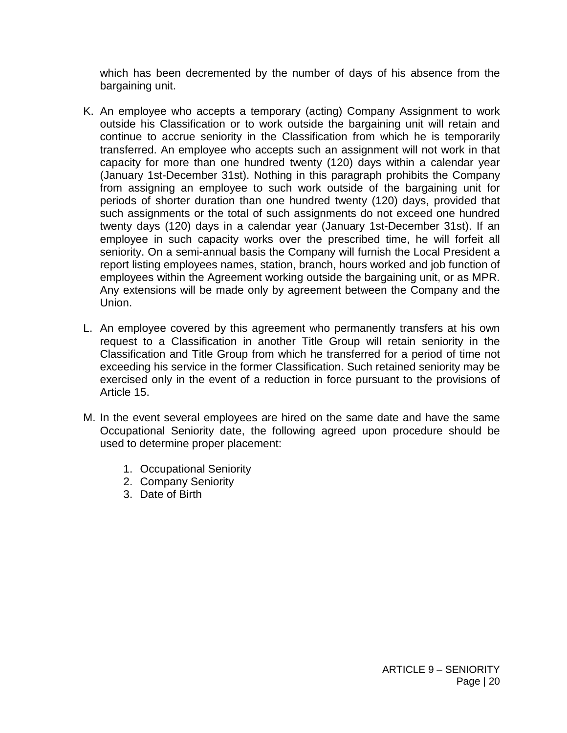which has been decremented by the number of days of his absence from the bargaining unit.

- K. An employee who accepts a temporary (acting) Company Assignment to work outside his Classification or to work outside the bargaining unit will retain and continue to accrue seniority in the Classification from which he is temporarily transferred. An employee who accepts such an assignment will not work in that capacity for more than one hundred twenty (120) days within a calendar year (January 1st-December 31st). Nothing in this paragraph prohibits the Company from assigning an employee to such work outside of the bargaining unit for periods of shorter duration than one hundred twenty (120) days, provided that such assignments or the total of such assignments do not exceed one hundred twenty days (120) days in a calendar year (January 1st-December 31st). If an employee in such capacity works over the prescribed time, he will forfeit all seniority. On a semi-annual basis the Company will furnish the Local President a report listing employees names, station, branch, hours worked and job function of employees within the Agreement working outside the bargaining unit, or as MPR. Any extensions will be made only by agreement between the Company and the Union.
- L. An employee covered by this agreement who permanently transfers at his own request to a Classification in another Title Group will retain seniority in the Classification and Title Group from which he transferred for a period of time not exceeding his service in the former Classification. Such retained seniority may be exercised only in the event of a reduction in force pursuant to the provisions of Article 15.
- M. In the event several employees are hired on the same date and have the same Occupational Seniority date, the following agreed upon procedure should be used to determine proper placement:
	- 1. Occupational Seniority
	- 2. Company Seniority
	- 3. Date of Birth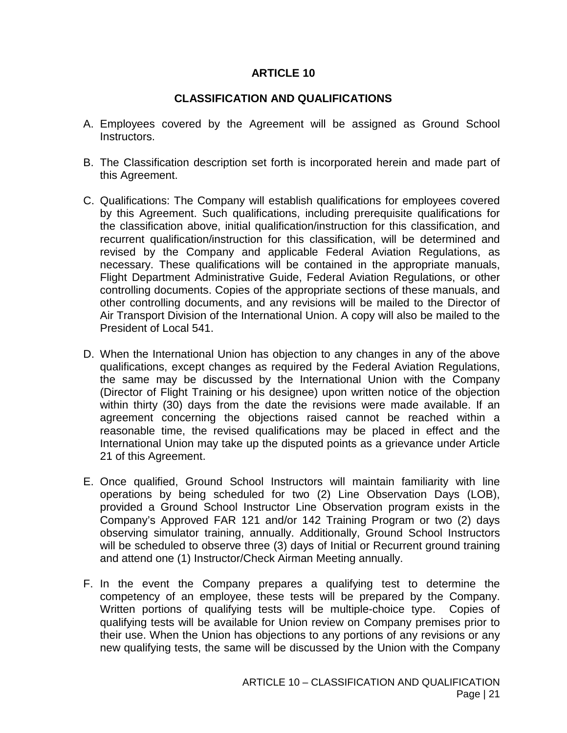#### **CLASSIFICATION AND QUALIFICATIONS**

- A. Employees covered by the Agreement will be assigned as Ground School Instructors.
- B. The Classification description set forth is incorporated herein and made part of this Agreement.
- C. Qualifications: The Company will establish qualifications for employees covered by this Agreement. Such qualifications, including prerequisite qualifications for the classification above, initial qualification/instruction for this classification, and recurrent qualification/instruction for this classification, will be determined and revised by the Company and applicable Federal Aviation Regulations, as necessary. These qualifications will be contained in the appropriate manuals, Flight Department Administrative Guide, Federal Aviation Regulations, or other controlling documents. Copies of the appropriate sections of these manuals, and other controlling documents, and any revisions will be mailed to the Director of Air Transport Division of the International Union. A copy will also be mailed to the President of Local 541.
- D. When the International Union has objection to any changes in any of the above qualifications, except changes as required by the Federal Aviation Regulations, the same may be discussed by the International Union with the Company (Director of Flight Training or his designee) upon written notice of the objection within thirty (30) days from the date the revisions were made available. If an agreement concerning the objections raised cannot be reached within a reasonable time, the revised qualifications may be placed in effect and the International Union may take up the disputed points as a grievance under Article 21 of this Agreement.
- E. Once qualified, Ground School Instructors will maintain familiarity with line operations by being scheduled for two (2) Line Observation Days (LOB), provided a Ground School Instructor Line Observation program exists in the Company's Approved FAR 121 and/or 142 Training Program or two (2) days observing simulator training, annually. Additionally, Ground School Instructors will be scheduled to observe three (3) days of Initial or Recurrent ground training and attend one (1) Instructor/Check Airman Meeting annually.
- F. In the event the Company prepares a qualifying test to determine the competency of an employee, these tests will be prepared by the Company. Written portions of qualifying tests will be multiple-choice type. Copies of qualifying tests will be available for Union review on Company premises prior to their use. When the Union has objections to any portions of any revisions or any new qualifying tests, the same will be discussed by the Union with the Company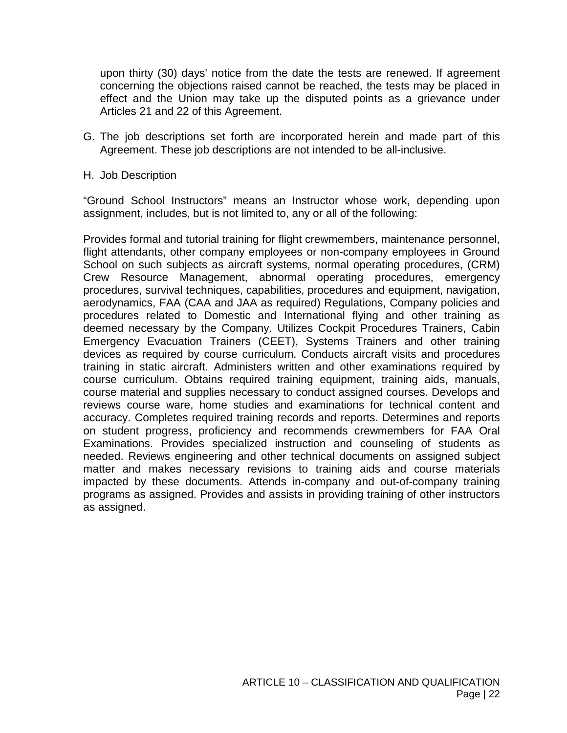upon thirty (30) days' notice from the date the tests are renewed. If agreement concerning the objections raised cannot be reached, the tests may be placed in effect and the Union may take up the disputed points as a grievance under Articles 21 and 22 of this Agreement.

- G. The job descriptions set forth are incorporated herein and made part of this Agreement. These job descriptions are not intended to be all-inclusive.
- H. Job Description

"Ground School Instructors" means an Instructor whose work, depending upon assignment, includes, but is not limited to, any or all of the following:

Provides formal and tutorial training for flight crewmembers, maintenance personnel, flight attendants, other company employees or non-company employees in Ground School on such subjects as aircraft systems, normal operating procedures, (CRM) Crew Resource Management, abnormal operating procedures, emergency procedures, survival techniques, capabilities, procedures and equipment, navigation, aerodynamics, FAA (CAA and JAA as required) Regulations, Company policies and procedures related to Domestic and International flying and other training as deemed necessary by the Company. Utilizes Cockpit Procedures Trainers, Cabin Emergency Evacuation Trainers (CEET), Systems Trainers and other training devices as required by course curriculum. Conducts aircraft visits and procedures training in static aircraft. Administers written and other examinations required by course curriculum. Obtains required training equipment, training aids, manuals, course material and supplies necessary to conduct assigned courses. Develops and reviews course ware, home studies and examinations for technical content and accuracy. Completes required training records and reports. Determines and reports on student progress, proficiency and recommends crewmembers for FAA Oral Examinations. Provides specialized instruction and counseling of students as needed. Reviews engineering and other technical documents on assigned subject matter and makes necessary revisions to training aids and course materials impacted by these documents. Attends in-company and out-of-company training programs as assigned. Provides and assists in providing training of other instructors as assigned.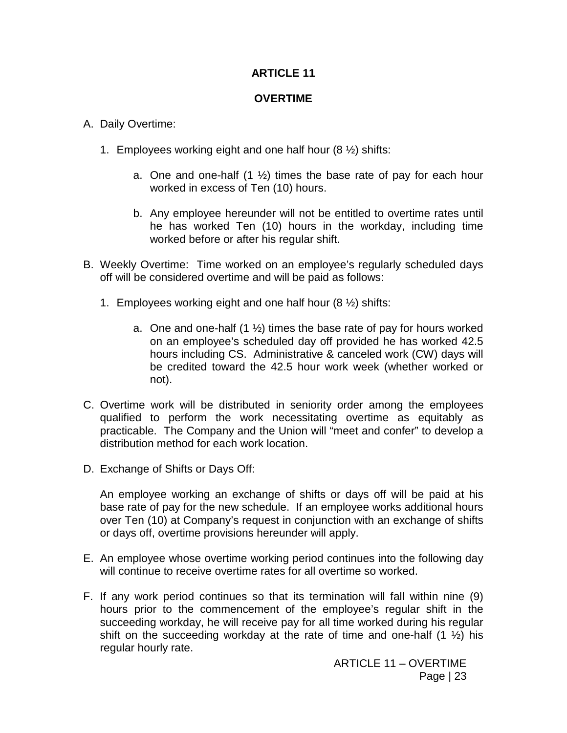#### **OVERTIME**

#### A. Daily Overtime:

- 1. Employees working eight and one half hour  $(8 \frac{1}{2})$  shifts:
	- a. One and one-half  $(1 \frac{1}{2})$  times the base rate of pay for each hour worked in excess of Ten (10) hours.
	- b. Any employee hereunder will not be entitled to overtime rates until he has worked Ten (10) hours in the workday, including time worked before or after his regular shift.
- B. Weekly Overtime: Time worked on an employee's regularly scheduled days off will be considered overtime and will be paid as follows:
	- 1. Employees working eight and one half hour  $(8 \frac{1}{2})$  shifts:
		- a. One and one-half  $(1 \frac{1}{2})$  times the base rate of pay for hours worked on an employee's scheduled day off provided he has worked 42.5 hours including CS. Administrative & canceled work (CW) days will be credited toward the 42.5 hour work week (whether worked or not).
- C. Overtime work will be distributed in seniority order among the employees qualified to perform the work necessitating overtime as equitably as practicable. The Company and the Union will "meet and confer" to develop a distribution method for each work location.
- D. Exchange of Shifts or Days Off:

An employee working an exchange of shifts or days off will be paid at his base rate of pay for the new schedule. If an employee works additional hours over Ten (10) at Company's request in conjunction with an exchange of shifts or days off, overtime provisions hereunder will apply.

- E. An employee whose overtime working period continues into the following day will continue to receive overtime rates for all overtime so worked.
- F. If any work period continues so that its termination will fall within nine (9) hours prior to the commencement of the employee's regular shift in the succeeding workday, he will receive pay for all time worked during his regular shift on the succeeding workday at the rate of time and one-half  $(1 \frac{1}{2})$  his regular hourly rate.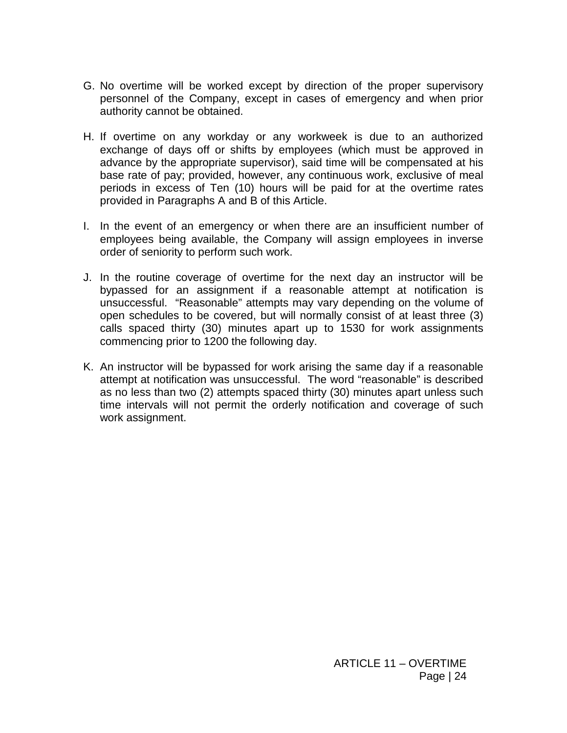- G. No overtime will be worked except by direction of the proper supervisory personnel of the Company, except in cases of emergency and when prior authority cannot be obtained.
- H. If overtime on any workday or any workweek is due to an authorized exchange of days off or shifts by employees (which must be approved in advance by the appropriate supervisor), said time will be compensated at his base rate of pay; provided, however, any continuous work, exclusive of meal periods in excess of Ten (10) hours will be paid for at the overtime rates provided in Paragraphs A and B of this Article.
- I. In the event of an emergency or when there are an insufficient number of employees being available, the Company will assign employees in inverse order of seniority to perform such work.
- J. In the routine coverage of overtime for the next day an instructor will be bypassed for an assignment if a reasonable attempt at notification is unsuccessful. "Reasonable" attempts may vary depending on the volume of open schedules to be covered, but will normally consist of at least three (3) calls spaced thirty (30) minutes apart up to 1530 for work assignments commencing prior to 1200 the following day.
- K. An instructor will be bypassed for work arising the same day if a reasonable attempt at notification was unsuccessful. The word "reasonable" is described as no less than two (2) attempts spaced thirty (30) minutes apart unless such time intervals will not permit the orderly notification and coverage of such work assignment.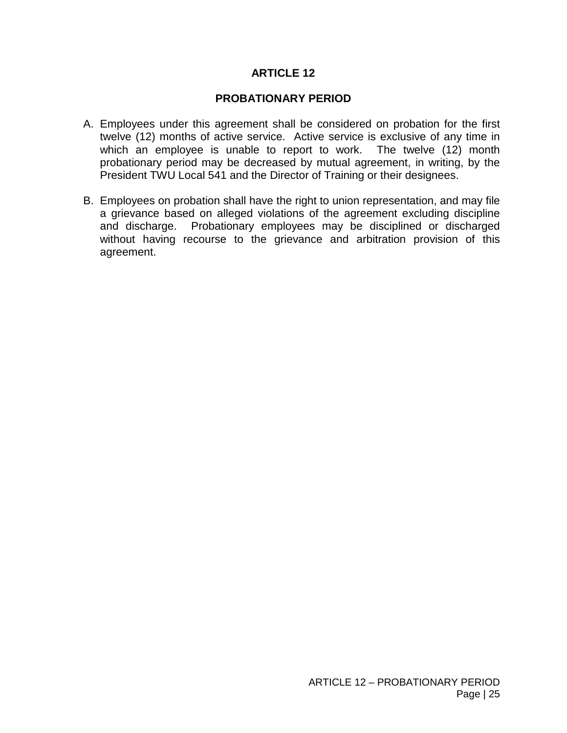#### **PROBATIONARY PERIOD**

- A. Employees under this agreement shall be considered on probation for the first twelve (12) months of active service. Active service is exclusive of any time in which an employee is unable to report to work. The twelve (12) month probationary period may be decreased by mutual agreement, in writing, by the President TWU Local 541 and the Director of Training or their designees.
- B. Employees on probation shall have the right to union representation, and may file a grievance based on alleged violations of the agreement excluding discipline and discharge. Probationary employees may be disciplined or discharged without having recourse to the grievance and arbitration provision of this agreement.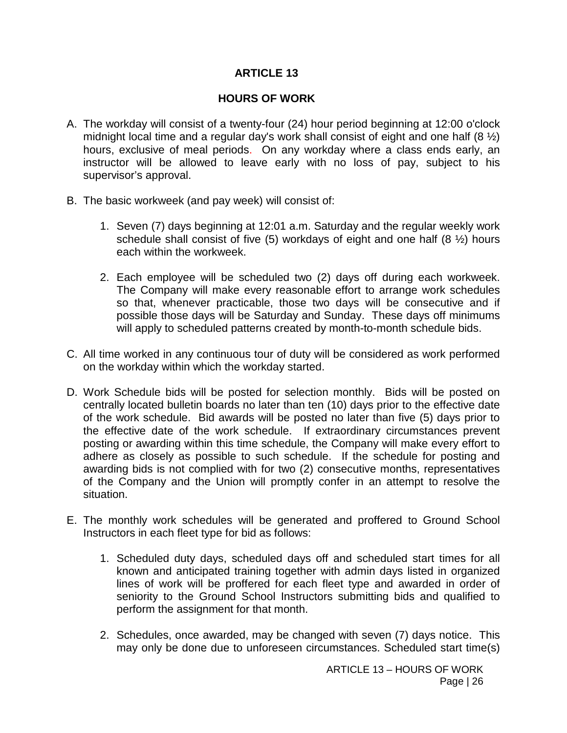#### **HOURS OF WORK**

- A. The workday will consist of a twenty-four (24) hour period beginning at 12:00 o'clock midnight local time and a regular day's work shall consist of eight and one half  $(8 \frac{1}{2})$ hours, exclusive of meal periods. On any workday where a class ends early, an instructor will be allowed to leave early with no loss of pay, subject to his supervisor's approval.
- B. The basic workweek (and pay week) will consist of:
	- 1. Seven (7) days beginning at 12:01 a.m. Saturday and the regular weekly work schedule shall consist of five  $(5)$  workdays of eight and one half  $(8 \frac{1}{2})$  hours each within the workweek.
	- 2. Each employee will be scheduled two (2) days off during each workweek. The Company will make every reasonable effort to arrange work schedules so that, whenever practicable, those two days will be consecutive and if possible those days will be Saturday and Sunday. These days off minimums will apply to scheduled patterns created by month-to-month schedule bids.
- C. All time worked in any continuous tour of duty will be considered as work performed on the workday within which the workday started.
- D. Work Schedule bids will be posted for selection monthly. Bids will be posted on centrally located bulletin boards no later than ten (10) days prior to the effective date of the work schedule. Bid awards will be posted no later than five (5) days prior to the effective date of the work schedule. If extraordinary circumstances prevent posting or awarding within this time schedule, the Company will make every effort to adhere as closely as possible to such schedule. If the schedule for posting and awarding bids is not complied with for two (2) consecutive months, representatives of the Company and the Union will promptly confer in an attempt to resolve the situation.
- E. The monthly work schedules will be generated and proffered to Ground School Instructors in each fleet type for bid as follows:
	- 1. Scheduled duty days, scheduled days off and scheduled start times for all known and anticipated training together with admin days listed in organized lines of work will be proffered for each fleet type and awarded in order of seniority to the Ground School Instructors submitting bids and qualified to perform the assignment for that month.
	- 2. Schedules, once awarded, may be changed with seven (7) days notice. This may only be done due to unforeseen circumstances. Scheduled start time(s)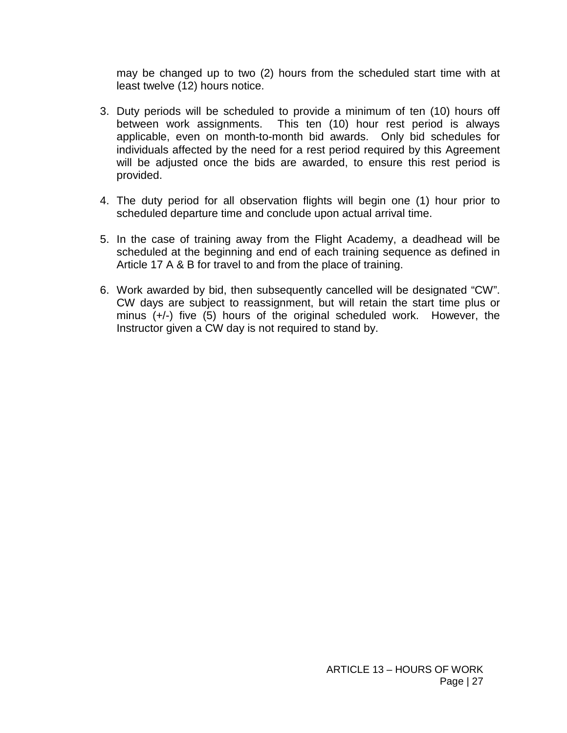may be changed up to two (2) hours from the scheduled start time with at least twelve (12) hours notice.

- 3. Duty periods will be scheduled to provide a minimum of ten (10) hours off between work assignments. This ten (10) hour rest period is always applicable, even on month-to-month bid awards. Only bid schedules for individuals affected by the need for a rest period required by this Agreement will be adjusted once the bids are awarded, to ensure this rest period is provided.
- 4. The duty period for all observation flights will begin one (1) hour prior to scheduled departure time and conclude upon actual arrival time.
- 5. In the case of training away from the Flight Academy, a deadhead will be scheduled at the beginning and end of each training sequence as defined in Article 17 A & B for travel to and from the place of training.
- 6. Work awarded by bid, then subsequently cancelled will be designated "CW". CW days are subject to reassignment, but will retain the start time plus or minus (+/-) five (5) hours of the original scheduled work. However, the Instructor given a CW day is not required to stand by.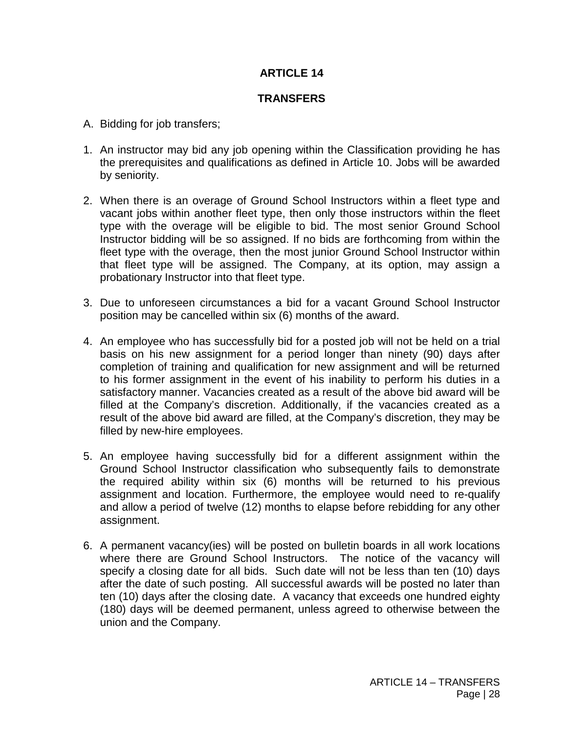#### **TRANSFERS**

- A. Bidding for job transfers;
- 1. An instructor may bid any job opening within the Classification providing he has the prerequisites and qualifications as defined in Article 10. Jobs will be awarded by seniority.
- 2. When there is an overage of Ground School Instructors within a fleet type and vacant jobs within another fleet type, then only those instructors within the fleet type with the overage will be eligible to bid. The most senior Ground School Instructor bidding will be so assigned. If no bids are forthcoming from within the fleet type with the overage, then the most junior Ground School Instructor within that fleet type will be assigned. The Company, at its option, may assign a probationary Instructor into that fleet type.
- 3. Due to unforeseen circumstances a bid for a vacant Ground School Instructor position may be cancelled within six (6) months of the award.
- 4. An employee who has successfully bid for a posted job will not be held on a trial basis on his new assignment for a period longer than ninety (90) days after completion of training and qualification for new assignment and will be returned to his former assignment in the event of his inability to perform his duties in a satisfactory manner. Vacancies created as a result of the above bid award will be filled at the Company's discretion. Additionally, if the vacancies created as a result of the above bid award are filled, at the Company's discretion, they may be filled by new-hire employees.
- 5. An employee having successfully bid for a different assignment within the Ground School Instructor classification who subsequently fails to demonstrate the required ability within six (6) months will be returned to his previous assignment and location. Furthermore, the employee would need to re-qualify and allow a period of twelve (12) months to elapse before rebidding for any other assignment.
- 6. A permanent vacancy(ies) will be posted on bulletin boards in all work locations where there are Ground School Instructors. The notice of the vacancy will specify a closing date for all bids. Such date will not be less than ten (10) days after the date of such posting. All successful awards will be posted no later than ten (10) days after the closing date. A vacancy that exceeds one hundred eighty (180) days will be deemed permanent, unless agreed to otherwise between the union and the Company.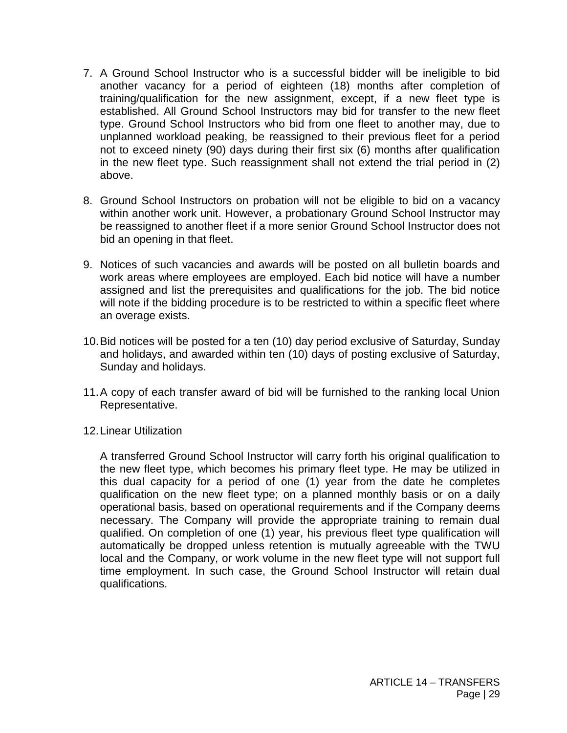- 7. A Ground School Instructor who is a successful bidder will be ineligible to bid another vacancy for a period of eighteen (18) months after completion of training/qualification for the new assignment, except, if a new fleet type is established. All Ground School Instructors may bid for transfer to the new fleet type. Ground School Instructors who bid from one fleet to another may, due to unplanned workload peaking, be reassigned to their previous fleet for a period not to exceed ninety (90) days during their first six (6) months after qualification in the new fleet type. Such reassignment shall not extend the trial period in (2) above.
- 8. Ground School Instructors on probation will not be eligible to bid on a vacancy within another work unit. However, a probationary Ground School Instructor may be reassigned to another fleet if a more senior Ground School Instructor does not bid an opening in that fleet.
- 9. Notices of such vacancies and awards will be posted on all bulletin boards and work areas where employees are employed. Each bid notice will have a number assigned and list the prerequisites and qualifications for the job. The bid notice will note if the bidding procedure is to be restricted to within a specific fleet where an overage exists.
- 10.Bid notices will be posted for a ten (10) day period exclusive of Saturday, Sunday and holidays, and awarded within ten (10) days of posting exclusive of Saturday, Sunday and holidays.
- 11.A copy of each transfer award of bid will be furnished to the ranking local Union Representative.
- 12.Linear Utilization

A transferred Ground School Instructor will carry forth his original qualification to the new fleet type, which becomes his primary fleet type. He may be utilized in this dual capacity for a period of one (1) year from the date he completes qualification on the new fleet type; on a planned monthly basis or on a daily operational basis, based on operational requirements and if the Company deems necessary. The Company will provide the appropriate training to remain dual qualified. On completion of one (1) year, his previous fleet type qualification will automatically be dropped unless retention is mutually agreeable with the TWU local and the Company, or work volume in the new fleet type will not support full time employment. In such case, the Ground School Instructor will retain dual qualifications.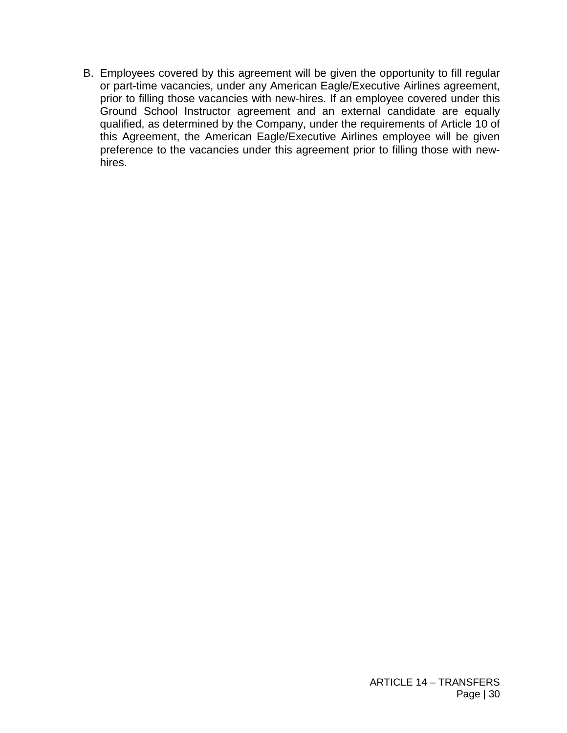B. Employees covered by this agreement will be given the opportunity to fill regular or part-time vacancies, under any American Eagle/Executive Airlines agreement, prior to filling those vacancies with new-hires. If an employee covered under this Ground School Instructor agreement and an external candidate are equally qualified, as determined by the Company, under the requirements of Article 10 of this Agreement, the American Eagle/Executive Airlines employee will be given preference to the vacancies under this agreement prior to filling those with newhires.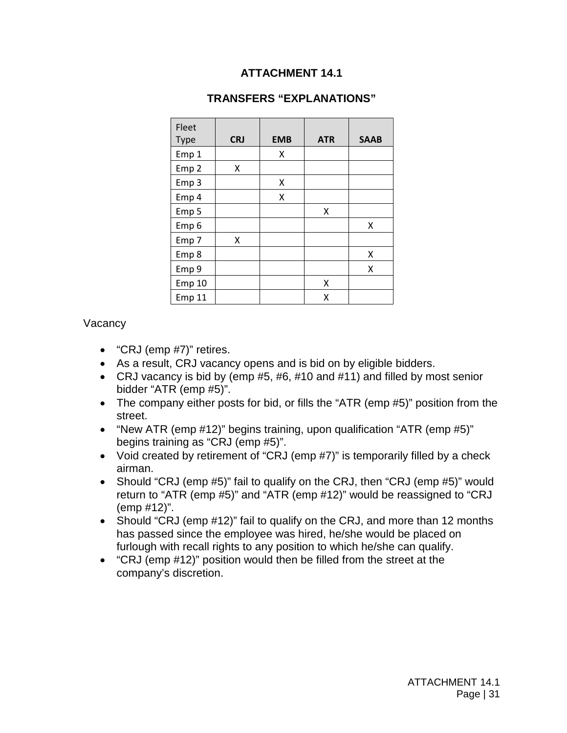## **ATTACHMENT 14.1**

#### **TRANSFERS "EXPLANATIONS"**

| Fleet<br><b>Type</b> | <b>CRJ</b> | <b>EMB</b> | <b>ATR</b> | <b>SAAB</b> |
|----------------------|------------|------------|------------|-------------|
| Emp 1                |            | X          |            |             |
| Emp <sub>2</sub>     | X          |            |            |             |
| Emp <sub>3</sub>     |            | X          |            |             |
| Emp 4                |            | Χ          |            |             |
| Emp <sub>5</sub>     |            |            | Χ          |             |
| Emp <sub>6</sub>     |            |            |            | X           |
| Emp <sub>7</sub>     | X          |            |            |             |
| Emp <sub>8</sub>     |            |            |            | X           |
| Emp 9                |            |            |            | X           |
| Emp 10               |            |            | Χ          |             |
| <b>Emp 11</b>        |            |            | X          |             |

#### **Vacancy**

- "CRJ (emp #7)" retires.
- As a result, CRJ vacancy opens and is bid on by eligible bidders.
- CRJ vacancy is bid by (emp #5, #6, #10 and #11) and filled by most senior bidder "ATR (emp #5)".
- The company either posts for bid, or fills the "ATR (emp #5)" position from the street.
- "New ATR (emp #12)" begins training, upon qualification "ATR (emp #5)" begins training as "CRJ (emp #5)".
- Void created by retirement of "CRJ (emp #7)" is temporarily filled by a check airman.
- Should "CRJ (emp #5)" fail to qualify on the CRJ, then "CRJ (emp #5)" would return to "ATR (emp #5)" and "ATR (emp #12)" would be reassigned to "CRJ (emp #12)".
- Should "CRJ (emp #12)" fail to qualify on the CRJ, and more than 12 months has passed since the employee was hired, he/she would be placed on furlough with recall rights to any position to which he/she can qualify.
- "CRJ (emp #12)" position would then be filled from the street at the company's discretion.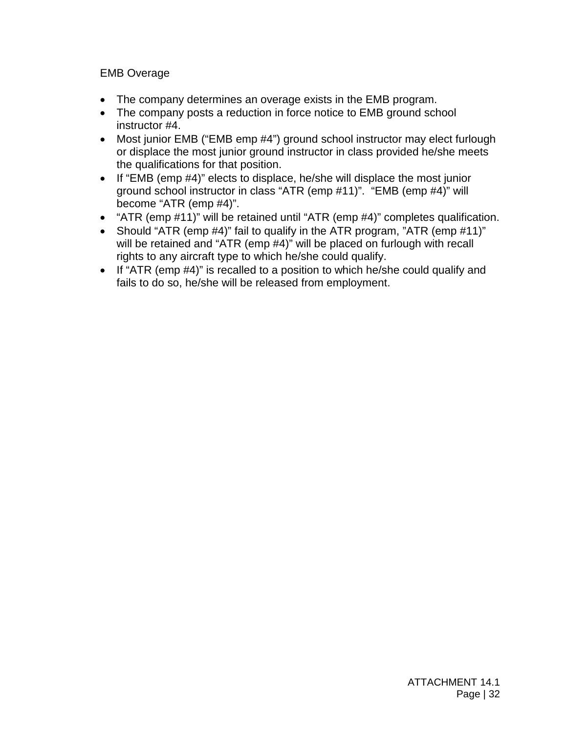### EMB Overage

- The company determines an overage exists in the EMB program.
- The company posts a reduction in force notice to EMB ground school instructor #4.
- Most junior EMB ("EMB emp #4") ground school instructor may elect furlough or displace the most junior ground instructor in class provided he/she meets the qualifications for that position.
- If "EMB (emp #4)" elects to displace, he/she will displace the most junior ground school instructor in class "ATR (emp #11)". "EMB (emp #4)" will become "ATR (emp #4)".
- "ATR (emp #11)" will be retained until "ATR (emp #4)" completes qualification.
- Should "ATR (emp #4)" fail to qualify in the ATR program, "ATR (emp #11)" will be retained and "ATR (emp #4)" will be placed on furlough with recall rights to any aircraft type to which he/she could qualify.
- If "ATR (emp #4)" is recalled to a position to which he/she could qualify and fails to do so, he/she will be released from employment.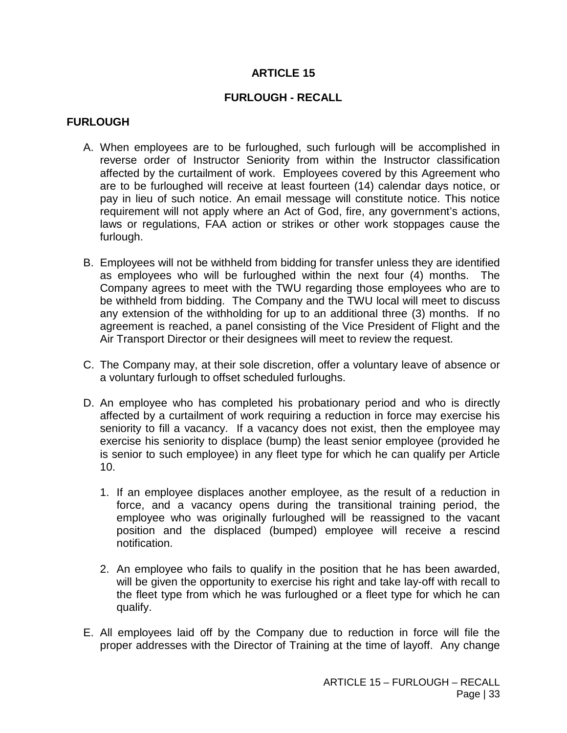#### **FURLOUGH - RECALL**

#### **FURLOUGH**

- A. When employees are to be furloughed, such furlough will be accomplished in reverse order of Instructor Seniority from within the Instructor classification affected by the curtailment of work. Employees covered by this Agreement who are to be furloughed will receive at least fourteen (14) calendar days notice, or pay in lieu of such notice. An email message will constitute notice. This notice requirement will not apply where an Act of God, fire, any government's actions, laws or regulations, FAA action or strikes or other work stoppages cause the furlough.
- B. Employees will not be withheld from bidding for transfer unless they are identified as employees who will be furloughed within the next four (4) months. The Company agrees to meet with the TWU regarding those employees who are to be withheld from bidding. The Company and the TWU local will meet to discuss any extension of the withholding for up to an additional three (3) months. If no agreement is reached, a panel consisting of the Vice President of Flight and the Air Transport Director or their designees will meet to review the request.
- C. The Company may, at their sole discretion, offer a voluntary leave of absence or a voluntary furlough to offset scheduled furloughs.
- D. An employee who has completed his probationary period and who is directly affected by a curtailment of work requiring a reduction in force may exercise his seniority to fill a vacancy. If a vacancy does not exist, then the employee may exercise his seniority to displace (bump) the least senior employee (provided he is senior to such employee) in any fleet type for which he can qualify per Article 10.
	- 1. If an employee displaces another employee, as the result of a reduction in force, and a vacancy opens during the transitional training period, the employee who was originally furloughed will be reassigned to the vacant position and the displaced (bumped) employee will receive a rescind notification.
	- 2. An employee who fails to qualify in the position that he has been awarded, will be given the opportunity to exercise his right and take lay-off with recall to the fleet type from which he was furloughed or a fleet type for which he can qualify.
- E. All employees laid off by the Company due to reduction in force will file the proper addresses with the Director of Training at the time of layoff. Any change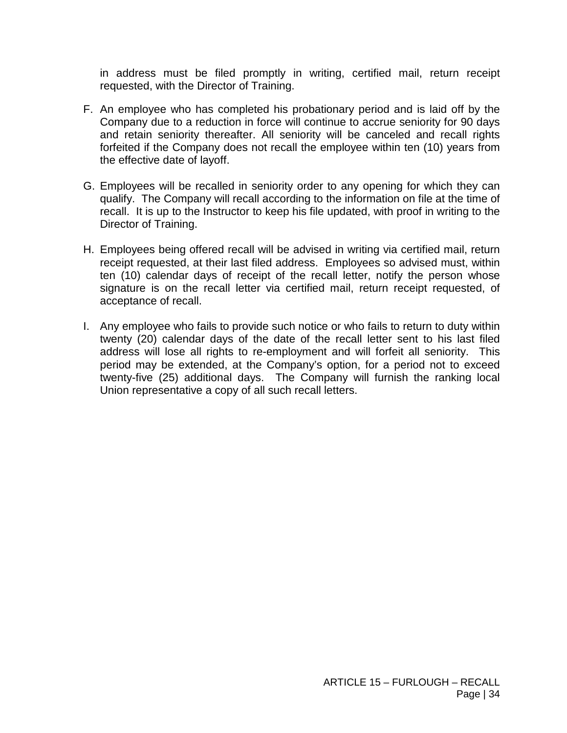in address must be filed promptly in writing, certified mail, return receipt requested, with the Director of Training.

- F. An employee who has completed his probationary period and is laid off by the Company due to a reduction in force will continue to accrue seniority for 90 days and retain seniority thereafter. All seniority will be canceled and recall rights forfeited if the Company does not recall the employee within ten (10) years from the effective date of layoff.
- G. Employees will be recalled in seniority order to any opening for which they can qualify. The Company will recall according to the information on file at the time of recall. It is up to the Instructor to keep his file updated, with proof in writing to the Director of Training.
- H. Employees being offered recall will be advised in writing via certified mail, return receipt requested, at their last filed address. Employees so advised must, within ten (10) calendar days of receipt of the recall letter, notify the person whose signature is on the recall letter via certified mail, return receipt requested, of acceptance of recall.
- I. Any employee who fails to provide such notice or who fails to return to duty within twenty (20) calendar days of the date of the recall letter sent to his last filed address will lose all rights to re-employment and will forfeit all seniority. This period may be extended, at the Company's option, for a period not to exceed twenty-five (25) additional days. The Company will furnish the ranking local Union representative a copy of all such recall letters.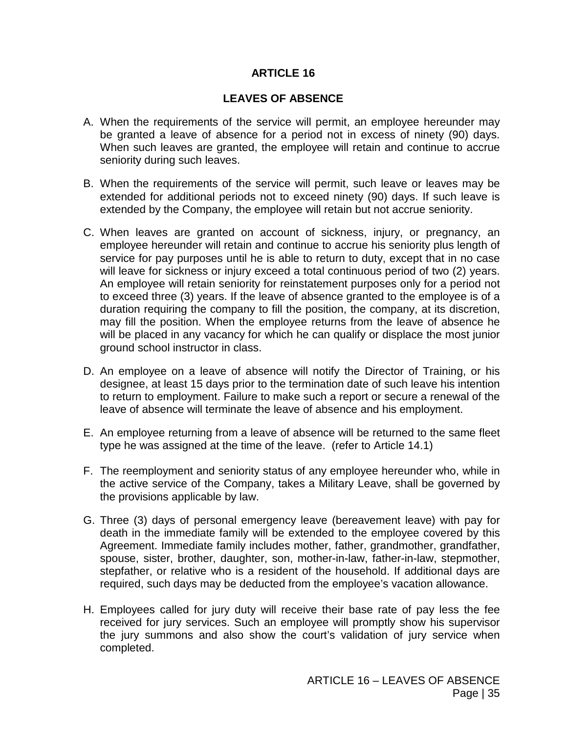#### **LEAVES OF ABSENCE**

- A. When the requirements of the service will permit, an employee hereunder may be granted a leave of absence for a period not in excess of ninety (90) days. When such leaves are granted, the employee will retain and continue to accrue seniority during such leaves.
- B. When the requirements of the service will permit, such leave or leaves may be extended for additional periods not to exceed ninety (90) days. If such leave is extended by the Company, the employee will retain but not accrue seniority.
- C. When leaves are granted on account of sickness, injury, or pregnancy, an employee hereunder will retain and continue to accrue his seniority plus length of service for pay purposes until he is able to return to duty, except that in no case will leave for sickness or injury exceed a total continuous period of two (2) years. An employee will retain seniority for reinstatement purposes only for a period not to exceed three (3) years. If the leave of absence granted to the employee is of a duration requiring the company to fill the position, the company, at its discretion, may fill the position. When the employee returns from the leave of absence he will be placed in any vacancy for which he can qualify or displace the most junior ground school instructor in class.
- D. An employee on a leave of absence will notify the Director of Training, or his designee, at least 15 days prior to the termination date of such leave his intention to return to employment. Failure to make such a report or secure a renewal of the leave of absence will terminate the leave of absence and his employment.
- E. An employee returning from a leave of absence will be returned to the same fleet type he was assigned at the time of the leave. (refer to Article 14.1)
- F. The reemployment and seniority status of any employee hereunder who, while in the active service of the Company, takes a Military Leave, shall be governed by the provisions applicable by law.
- G. Three (3) days of personal emergency leave (bereavement leave) with pay for death in the immediate family will be extended to the employee covered by this Agreement. Immediate family includes mother, father, grandmother, grandfather, spouse, sister, brother, daughter, son, mother-in-law, father-in-law, stepmother, stepfather, or relative who is a resident of the household. If additional days are required, such days may be deducted from the employee's vacation allowance.
- H. Employees called for jury duty will receive their base rate of pay less the fee received for jury services. Such an employee will promptly show his supervisor the jury summons and also show the court's validation of jury service when completed.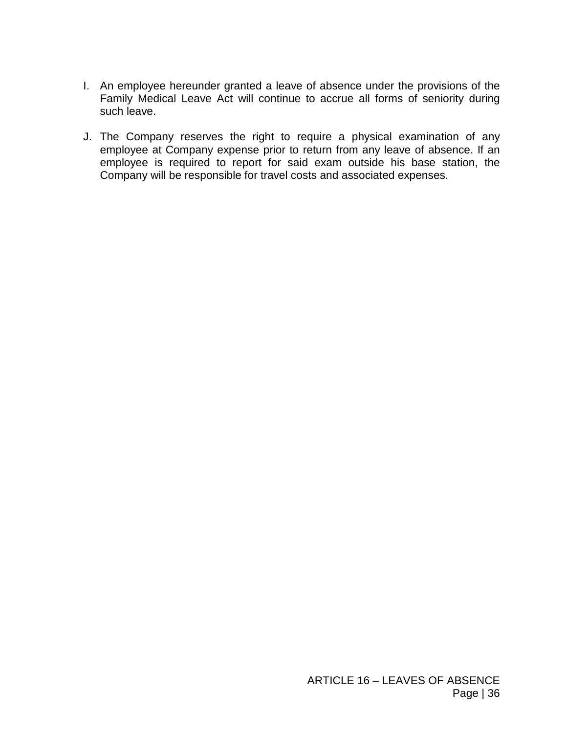- I. An employee hereunder granted a leave of absence under the provisions of the Family Medical Leave Act will continue to accrue all forms of seniority during such leave.
- J. The Company reserves the right to require a physical examination of any employee at Company expense prior to return from any leave of absence. If an employee is required to report for said exam outside his base station, the Company will be responsible for travel costs and associated expenses.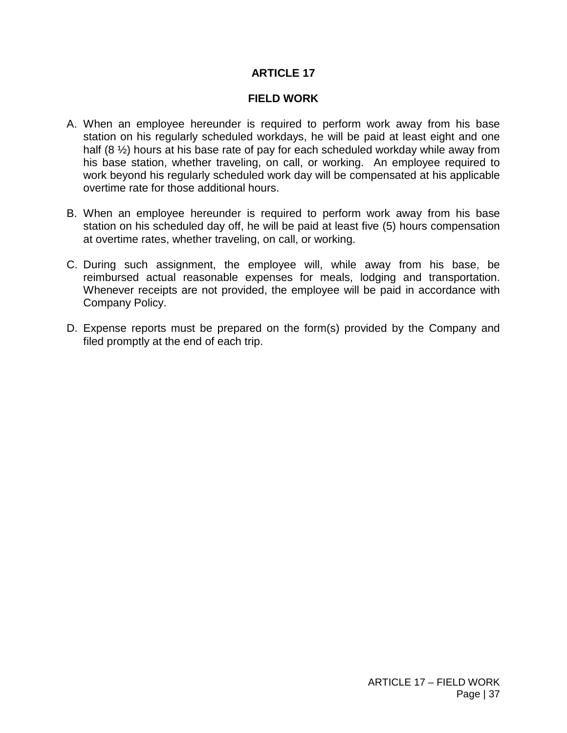### **FIELD WORK**

- A. When an employee hereunder is required to perform work away from his base station on his regularly scheduled workdays, he will be paid at least eight and one half (8 ½) hours at his base rate of pay for each scheduled workday while away from his base station, whether traveling, on call, or working. An employee required to work beyond his regularly scheduled work day will be compensated at his applicable overtime rate for those additional hours.
- B. When an employee hereunder is required to perform work away from his base station on his scheduled day off, he will be paid at least five (5) hours compensation at overtime rates, whether traveling, on call, or working.
- C. During such assignment, the employee will, while away from his base, be reimbursed actual reasonable expenses for meals, lodging and transportation. Whenever receipts are not provided, the employee will be paid in accordance with Company Policy.
- D. Expense reports must be prepared on the form(s) provided by the Company and filed promptly at the end of each trip.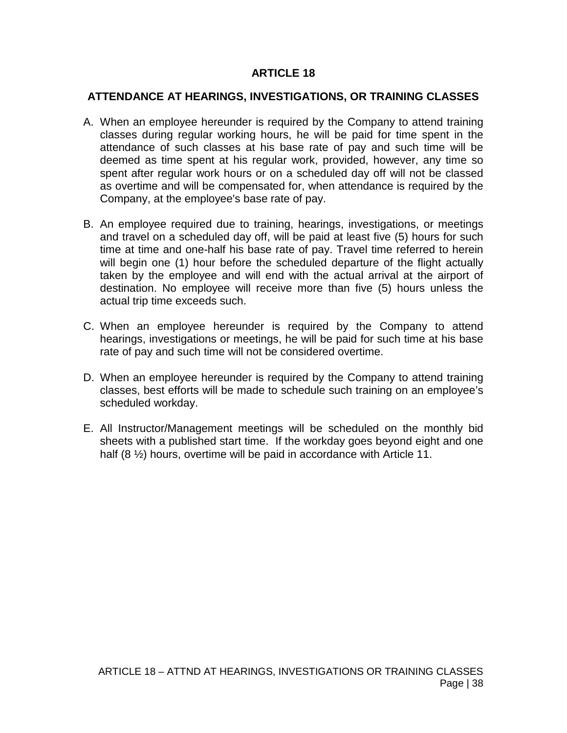### **ATTENDANCE AT HEARINGS, INVESTIGATIONS, OR TRAINING CLASSES**

- A. When an employee hereunder is required by the Company to attend training classes during regular working hours, he will be paid for time spent in the attendance of such classes at his base rate of pay and such time will be deemed as time spent at his regular work, provided, however, any time so spent after regular work hours or on a scheduled day off will not be classed as overtime and will be compensated for, when attendance is required by the Company, at the employee's base rate of pay.
- B. An employee required due to training, hearings, investigations, or meetings and travel on a scheduled day off, will be paid at least five (5) hours for such time at time and one-half his base rate of pay. Travel time referred to herein will begin one (1) hour before the scheduled departure of the flight actually taken by the employee and will end with the actual arrival at the airport of destination. No employee will receive more than five (5) hours unless the actual trip time exceeds such.
- C. When an employee hereunder is required by the Company to attend hearings, investigations or meetings, he will be paid for such time at his base rate of pay and such time will not be considered overtime.
- D. When an employee hereunder is required by the Company to attend training classes, best efforts will be made to schedule such training on an employee's scheduled workday.
- E. All Instructor/Management meetings will be scheduled on the monthly bid sheets with a published start time. If the workday goes beyond eight and one half (8 <sup> $\frac{1}{2}$ </sup>) hours, overtime will be paid in accordance with Article 11.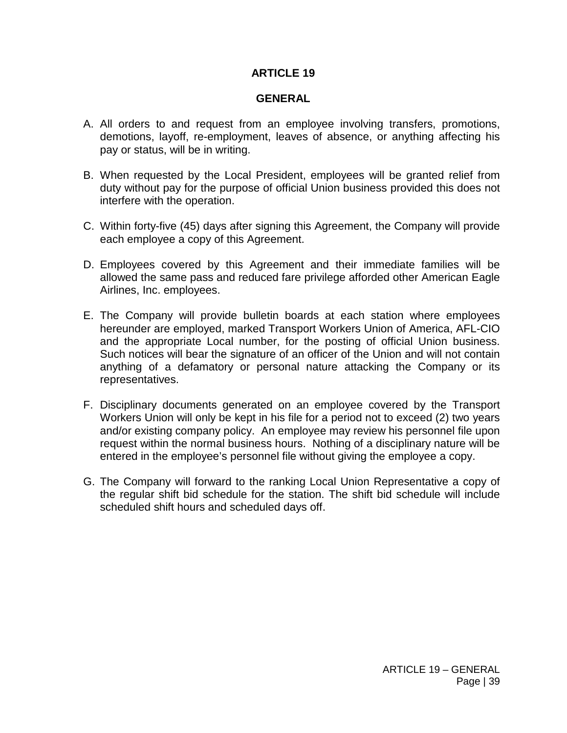#### **GENERAL**

- A. All orders to and request from an employee involving transfers, promotions, demotions, layoff, re-employment, leaves of absence, or anything affecting his pay or status, will be in writing.
- B. When requested by the Local President, employees will be granted relief from duty without pay for the purpose of official Union business provided this does not interfere with the operation.
- C. Within forty-five (45) days after signing this Agreement, the Company will provide each employee a copy of this Agreement.
- D. Employees covered by this Agreement and their immediate families will be allowed the same pass and reduced fare privilege afforded other American Eagle Airlines, Inc. employees.
- E. The Company will provide bulletin boards at each station where employees hereunder are employed, marked Transport Workers Union of America, AFL-CIO and the appropriate Local number, for the posting of official Union business. Such notices will bear the signature of an officer of the Union and will not contain anything of a defamatory or personal nature attacking the Company or its representatives.
- F. Disciplinary documents generated on an employee covered by the Transport Workers Union will only be kept in his file for a period not to exceed (2) two years and/or existing company policy. An employee may review his personnel file upon request within the normal business hours. Nothing of a disciplinary nature will be entered in the employee's personnel file without giving the employee a copy.
- G. The Company will forward to the ranking Local Union Representative a copy of the regular shift bid schedule for the station. The shift bid schedule will include scheduled shift hours and scheduled days off.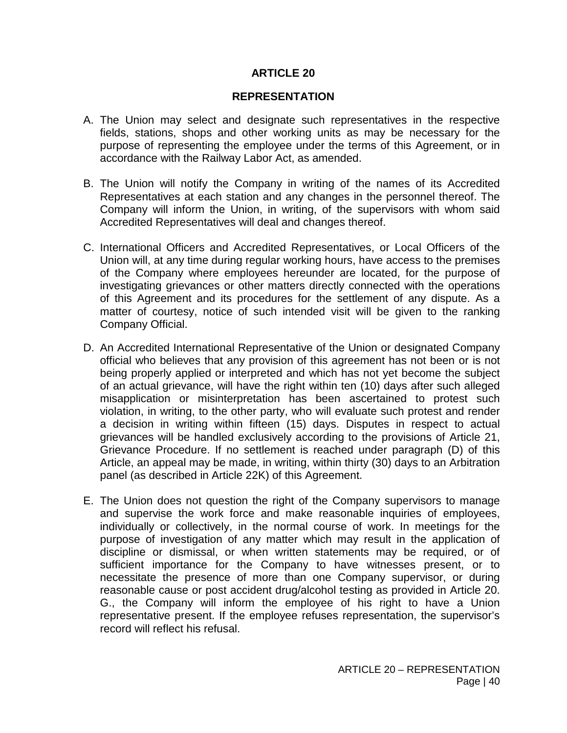#### **REPRESENTATION**

- A. The Union may select and designate such representatives in the respective fields, stations, shops and other working units as may be necessary for the purpose of representing the employee under the terms of this Agreement, or in accordance with the Railway Labor Act, as amended.
- B. The Union will notify the Company in writing of the names of its Accredited Representatives at each station and any changes in the personnel thereof. The Company will inform the Union, in writing, of the supervisors with whom said Accredited Representatives will deal and changes thereof.
- C. International Officers and Accredited Representatives, or Local Officers of the Union will, at any time during regular working hours, have access to the premises of the Company where employees hereunder are located, for the purpose of investigating grievances or other matters directly connected with the operations of this Agreement and its procedures for the settlement of any dispute. As a matter of courtesy, notice of such intended visit will be given to the ranking Company Official.
- D. An Accredited International Representative of the Union or designated Company official who believes that any provision of this agreement has not been or is not being properly applied or interpreted and which has not yet become the subject of an actual grievance, will have the right within ten (10) days after such alleged misapplication or misinterpretation has been ascertained to protest such violation, in writing, to the other party, who will evaluate such protest and render a decision in writing within fifteen (15) days. Disputes in respect to actual grievances will be handled exclusively according to the provisions of Article 21, Grievance Procedure. If no settlement is reached under paragraph (D) of this Article, an appeal may be made, in writing, within thirty (30) days to an Arbitration panel (as described in Article 22K) of this Agreement.
- E. The Union does not question the right of the Company supervisors to manage and supervise the work force and make reasonable inquiries of employees, individually or collectively, in the normal course of work. In meetings for the purpose of investigation of any matter which may result in the application of discipline or dismissal, or when written statements may be required, or of sufficient importance for the Company to have witnesses present, or to necessitate the presence of more than one Company supervisor, or during reasonable cause or post accident drug/alcohol testing as provided in Article 20. G., the Company will inform the employee of his right to have a Union representative present. If the employee refuses representation, the supervisor's record will reflect his refusal.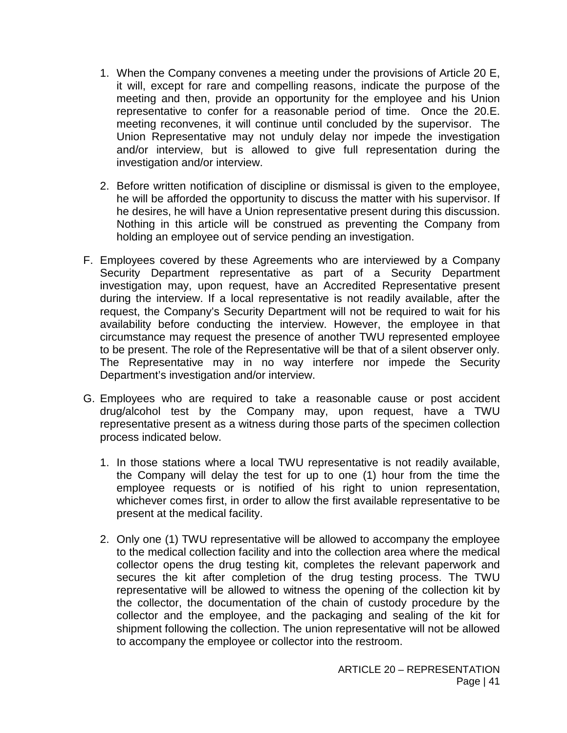- 1. When the Company convenes a meeting under the provisions of Article 20 E, it will, except for rare and compelling reasons, indicate the purpose of the meeting and then, provide an opportunity for the employee and his Union representative to confer for a reasonable period of time. Once the 20.E. meeting reconvenes, it will continue until concluded by the supervisor. The Union Representative may not unduly delay nor impede the investigation and/or interview, but is allowed to give full representation during the investigation and/or interview.
- 2. Before written notification of discipline or dismissal is given to the employee, he will be afforded the opportunity to discuss the matter with his supervisor. If he desires, he will have a Union representative present during this discussion. Nothing in this article will be construed as preventing the Company from holding an employee out of service pending an investigation.
- F. Employees covered by these Agreements who are interviewed by a Company Security Department representative as part of a Security Department investigation may, upon request, have an Accredited Representative present during the interview. If a local representative is not readily available, after the request, the Company's Security Department will not be required to wait for his availability before conducting the interview. However, the employee in that circumstance may request the presence of another TWU represented employee to be present. The role of the Representative will be that of a silent observer only. The Representative may in no way interfere nor impede the Security Department's investigation and/or interview.
- G. Employees who are required to take a reasonable cause or post accident drug/alcohol test by the Company may, upon request, have a TWU representative present as a witness during those parts of the specimen collection process indicated below.
	- 1. In those stations where a local TWU representative is not readily available, the Company will delay the test for up to one (1) hour from the time the employee requests or is notified of his right to union representation, whichever comes first, in order to allow the first available representative to be present at the medical facility.
	- 2. Only one (1) TWU representative will be allowed to accompany the employee to the medical collection facility and into the collection area where the medical collector opens the drug testing kit, completes the relevant paperwork and secures the kit after completion of the drug testing process. The TWU representative will be allowed to witness the opening of the collection kit by the collector, the documentation of the chain of custody procedure by the collector and the employee, and the packaging and sealing of the kit for shipment following the collection. The union representative will not be allowed to accompany the employee or collector into the restroom.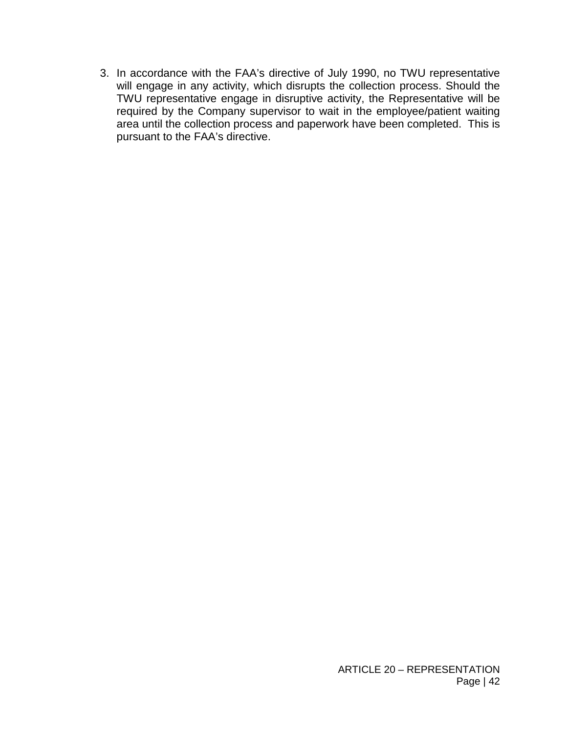3. In accordance with the FAA's directive of July 1990, no TWU representative will engage in any activity, which disrupts the collection process. Should the TWU representative engage in disruptive activity, the Representative will be required by the Company supervisor to wait in the employee/patient waiting area until the collection process and paperwork have been completed. This is pursuant to the FAA's directive.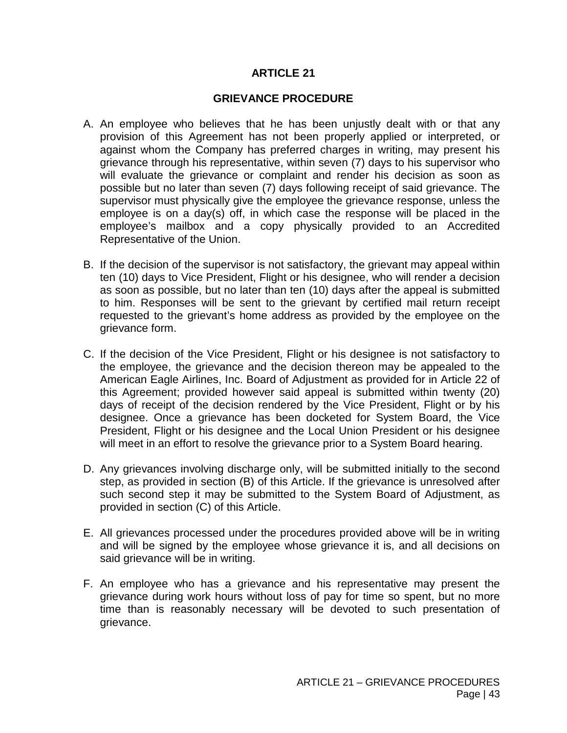#### **GRIEVANCE PROCEDURE**

- A. An employee who believes that he has been unjustly dealt with or that any provision of this Agreement has not been properly applied or interpreted, or against whom the Company has preferred charges in writing, may present his grievance through his representative, within seven (7) days to his supervisor who will evaluate the grievance or complaint and render his decision as soon as possible but no later than seven (7) days following receipt of said grievance. The supervisor must physically give the employee the grievance response, unless the employee is on a day(s) off, in which case the response will be placed in the employee's mailbox and a copy physically provided to an Accredited Representative of the Union.
- B. If the decision of the supervisor is not satisfactory, the grievant may appeal within ten (10) days to Vice President, Flight or his designee, who will render a decision as soon as possible, but no later than ten (10) days after the appeal is submitted to him. Responses will be sent to the grievant by certified mail return receipt requested to the grievant's home address as provided by the employee on the grievance form.
- C. If the decision of the Vice President, Flight or his designee is not satisfactory to the employee, the grievance and the decision thereon may be appealed to the American Eagle Airlines, Inc. Board of Adjustment as provided for in Article 22 of this Agreement; provided however said appeal is submitted within twenty (20) days of receipt of the decision rendered by the Vice President, Flight or by his designee. Once a grievance has been docketed for System Board, the Vice President, Flight or his designee and the Local Union President or his designee will meet in an effort to resolve the grievance prior to a System Board hearing.
- D. Any grievances involving discharge only, will be submitted initially to the second step, as provided in section (B) of this Article. If the grievance is unresolved after such second step it may be submitted to the System Board of Adjustment, as provided in section (C) of this Article.
- E. All grievances processed under the procedures provided above will be in writing and will be signed by the employee whose grievance it is, and all decisions on said grievance will be in writing.
- F. An employee who has a grievance and his representative may present the grievance during work hours without loss of pay for time so spent, but no more time than is reasonably necessary will be devoted to such presentation of grievance.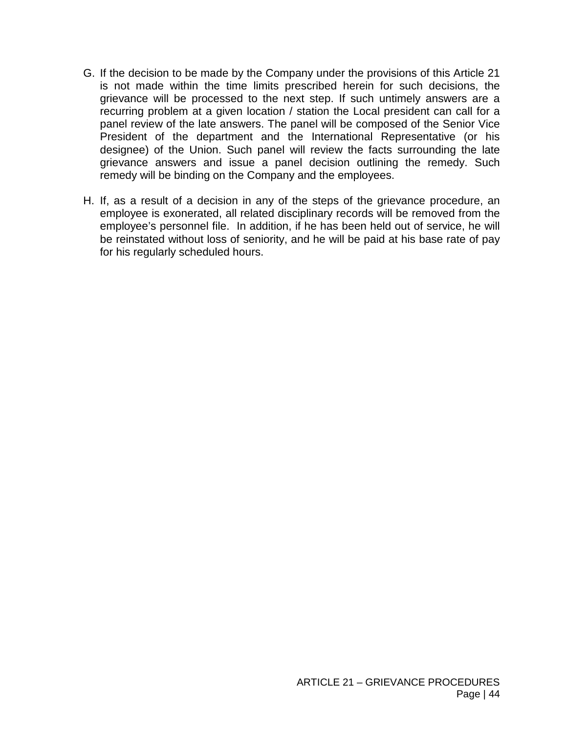- G. If the decision to be made by the Company under the provisions of this Article 21 is not made within the time limits prescribed herein for such decisions, the grievance will be processed to the next step. If such untimely answers are a recurring problem at a given location / station the Local president can call for a panel review of the late answers. The panel will be composed of the Senior Vice President of the department and the International Representative (or his designee) of the Union. Such panel will review the facts surrounding the late grievance answers and issue a panel decision outlining the remedy. Such remedy will be binding on the Company and the employees.
- H. If, as a result of a decision in any of the steps of the grievance procedure, an employee is exonerated, all related disciplinary records will be removed from the employee's personnel file. In addition, if he has been held out of service, he will be reinstated without loss of seniority, and he will be paid at his base rate of pay for his regularly scheduled hours.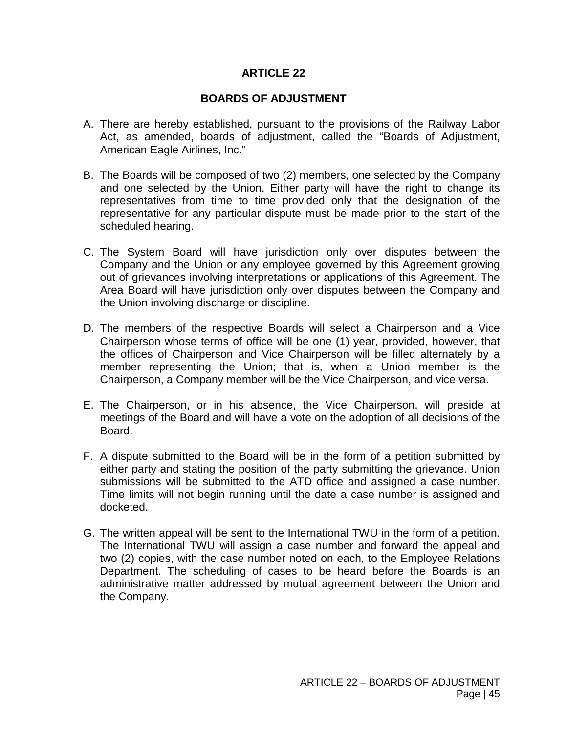#### **BOARDS OF ADJUSTMENT**

- A. There are hereby established, pursuant to the provisions of the Railway Labor Act, as amended, boards of adjustment, called the "Boards of Adjustment, American Eagle Airlines, Inc."
- B. The Boards will be composed of two (2) members, one selected by the Company and one selected by the Union. Either party will have the right to change its representatives from time to time provided only that the designation of the representative for any particular dispute must be made prior to the start of the scheduled hearing.
- C. The System Board will have jurisdiction only over disputes between the Company and the Union or any employee governed by this Agreement growing out of grievances involving interpretations or applications of this Agreement. The Area Board will have jurisdiction only over disputes between the Company and the Union involving discharge or discipline.
- D. The members of the respective Boards will select a Chairperson and a Vice Chairperson whose terms of office will be one (1) year, provided, however, that the offices of Chairperson and Vice Chairperson will be filled alternately by a member representing the Union; that is, when a Union member is the Chairperson, a Company member will be the Vice Chairperson, and vice versa.
- E. The Chairperson, or in his absence, the Vice Chairperson, will preside at meetings of the Board and will have a vote on the adoption of all decisions of the Board.
- F. A dispute submitted to the Board will be in the form of a petition submitted by either party and stating the position of the party submitting the grievance. Union submissions will be submitted to the ATD office and assigned a case number. Time limits will not begin running until the date a case number is assigned and docketed.
- G. The written appeal will be sent to the International TWU in the form of a petition. The International TWU will assign a case number and forward the appeal and two (2) copies, with the case number noted on each, to the Employee Relations Department. The scheduling of cases to be heard before the Boards is an administrative matter addressed by mutual agreement between the Union and the Company.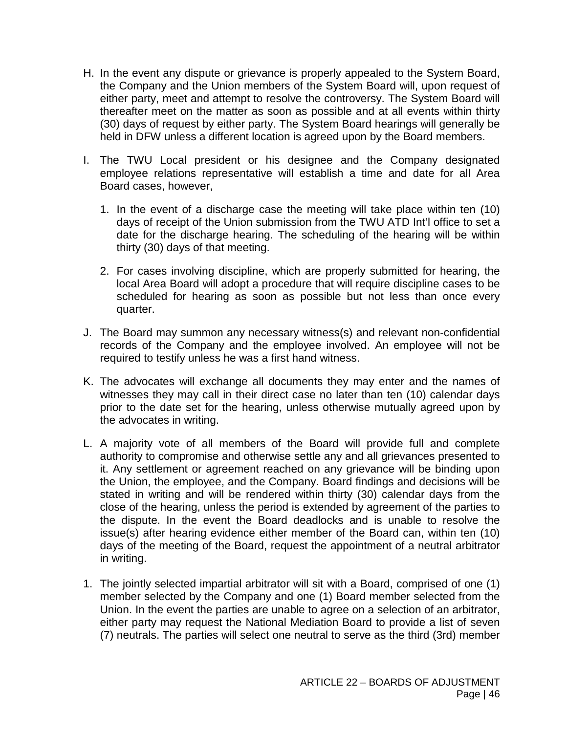- H. In the event any dispute or grievance is properly appealed to the System Board, the Company and the Union members of the System Board will, upon request of either party, meet and attempt to resolve the controversy. The System Board will thereafter meet on the matter as soon as possible and at all events within thirty (30) days of request by either party. The System Board hearings will generally be held in DFW unless a different location is agreed upon by the Board members.
- I. The TWU Local president or his designee and the Company designated employee relations representative will establish a time and date for all Area Board cases, however,
	- 1. In the event of a discharge case the meeting will take place within ten (10) days of receipt of the Union submission from the TWU ATD Int'l office to set a date for the discharge hearing. The scheduling of the hearing will be within thirty (30) days of that meeting.
	- 2. For cases involving discipline, which are properly submitted for hearing, the local Area Board will adopt a procedure that will require discipline cases to be scheduled for hearing as soon as possible but not less than once every quarter.
- J. The Board may summon any necessary witness(s) and relevant non-confidential records of the Company and the employee involved. An employee will not be required to testify unless he was a first hand witness.
- K. The advocates will exchange all documents they may enter and the names of witnesses they may call in their direct case no later than ten (10) calendar days prior to the date set for the hearing, unless otherwise mutually agreed upon by the advocates in writing.
- L. A majority vote of all members of the Board will provide full and complete authority to compromise and otherwise settle any and all grievances presented to it. Any settlement or agreement reached on any grievance will be binding upon the Union, the employee, and the Company. Board findings and decisions will be stated in writing and will be rendered within thirty (30) calendar days from the close of the hearing, unless the period is extended by agreement of the parties to the dispute. In the event the Board deadlocks and is unable to resolve the issue(s) after hearing evidence either member of the Board can, within ten (10) days of the meeting of the Board, request the appointment of a neutral arbitrator in writing.
- 1. The jointly selected impartial arbitrator will sit with a Board, comprised of one (1) member selected by the Company and one (1) Board member selected from the Union. In the event the parties are unable to agree on a selection of an arbitrator, either party may request the National Mediation Board to provide a list of seven (7) neutrals. The parties will select one neutral to serve as the third (3rd) member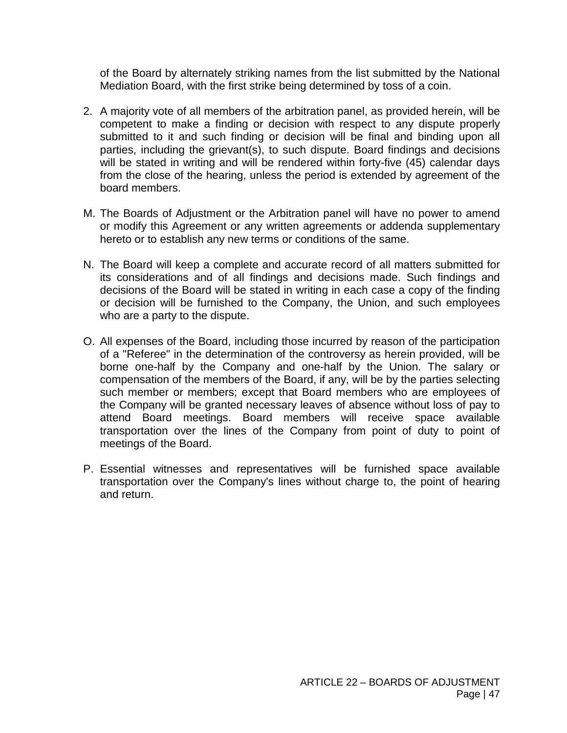of the Board by alternately striking names from the list submitted by the National Mediation Board, with the first strike being determined by toss of a coin.

- 2. A majority vote of all members of the arbitration panel, as provided herein, will be competent to make a finding or decision with respect to any dispute properly submitted to it and such finding or decision will be final and binding upon all parties, including the grievant(s), to such dispute. Board findings and decisions will be stated in writing and will be rendered within forty-five (45) calendar days from the close of the hearing, unless the period is extended by agreement of the board members.
- M. The Boards of Adjustment or the Arbitration panel will have no power to amend or modify this Agreement or any written agreements or addenda supplementary hereto or to establish any new terms or conditions of the same.
- N. The Board will keep a complete and accurate record of all matters submitted for its considerations and of all findings and decisions made. Such findings and decisions of the Board will be stated in writing in each case a copy of the finding or decision will be furnished to the Company, the Union, and such employees who are a party to the dispute.
- O. All expenses of the Board, including those incurred by reason of the participation of a "Referee" in the determination of the controversy as herein provided, will be borne one-half by the Company and one-half by the Union. The salary or compensation of the members of the Board, if any, will be by the parties selecting such member or members; except that Board members who are employees of the Company will be granted necessary leaves of absence without loss of pay to attend Board meetings. Board members will receive space available transportation over the lines of the Company from point of duty to point of meetings of the Board.
- P. Essential witnesses and representatives will be furnished space available transportation over the Company's lines without charge to, the point of hearing and return.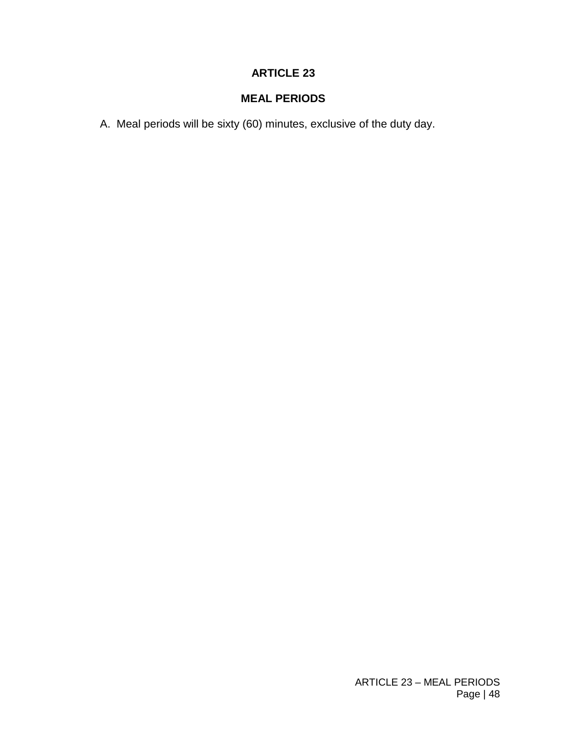# **MEAL PERIODS**

A. Meal periods will be sixty (60) minutes, exclusive of the duty day.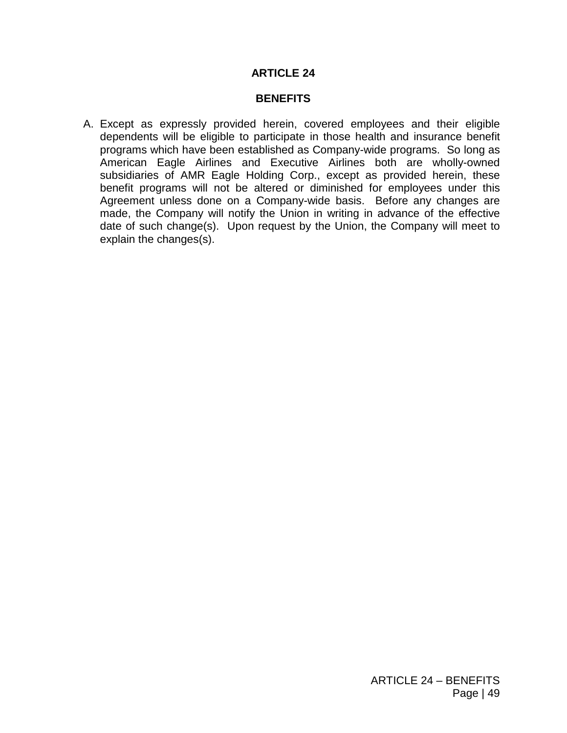### **BENEFITS**

A. Except as expressly provided herein, covered employees and their eligible dependents will be eligible to participate in those health and insurance benefit programs which have been established as Company-wide programs. So long as American Eagle Airlines and Executive Airlines both are wholly-owned subsidiaries of AMR Eagle Holding Corp., except as provided herein, these benefit programs will not be altered or diminished for employees under this Agreement unless done on a Company-wide basis. Before any changes are made, the Company will notify the Union in writing in advance of the effective date of such change(s). Upon request by the Union, the Company will meet to explain the changes(s).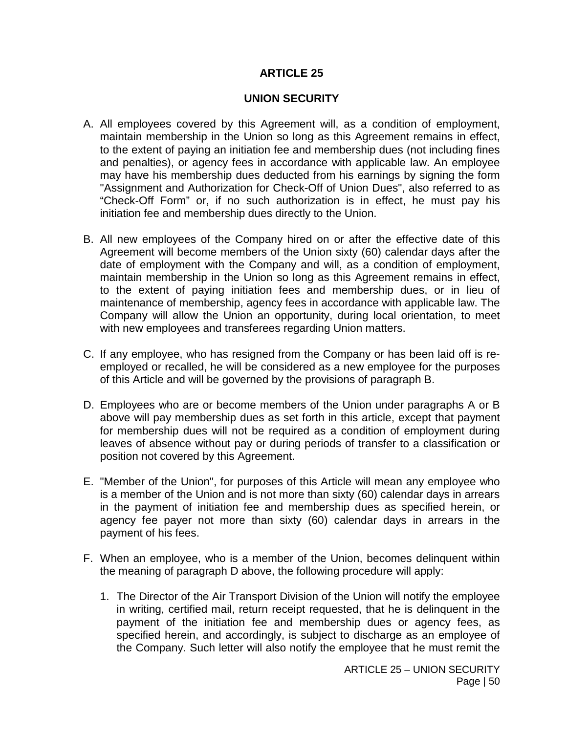### **UNION SECURITY**

- A. All employees covered by this Agreement will, as a condition of employment, maintain membership in the Union so long as this Agreement remains in effect, to the extent of paying an initiation fee and membership dues (not including fines and penalties), or agency fees in accordance with applicable law. An employee may have his membership dues deducted from his earnings by signing the form "Assignment and Authorization for Check-Off of Union Dues", also referred to as "Check-Off Form" or, if no such authorization is in effect, he must pay his initiation fee and membership dues directly to the Union.
- B. All new employees of the Company hired on or after the effective date of this Agreement will become members of the Union sixty (60) calendar days after the date of employment with the Company and will, as a condition of employment, maintain membership in the Union so long as this Agreement remains in effect, to the extent of paying initiation fees and membership dues, or in lieu of maintenance of membership, agency fees in accordance with applicable law. The Company will allow the Union an opportunity, during local orientation, to meet with new employees and transferees regarding Union matters.
- C. If any employee, who has resigned from the Company or has been laid off is reemployed or recalled, he will be considered as a new employee for the purposes of this Article and will be governed by the provisions of paragraph B.
- D. Employees who are or become members of the Union under paragraphs A or B above will pay membership dues as set forth in this article, except that payment for membership dues will not be required as a condition of employment during leaves of absence without pay or during periods of transfer to a classification or position not covered by this Agreement.
- E. "Member of the Union", for purposes of this Article will mean any employee who is a member of the Union and is not more than sixty (60) calendar days in arrears in the payment of initiation fee and membership dues as specified herein, or agency fee payer not more than sixty (60) calendar days in arrears in the payment of his fees.
- F. When an employee, who is a member of the Union, becomes delinquent within the meaning of paragraph D above, the following procedure will apply:
	- 1. The Director of the Air Transport Division of the Union will notify the employee in writing, certified mail, return receipt requested, that he is delinquent in the payment of the initiation fee and membership dues or agency fees, as specified herein, and accordingly, is subject to discharge as an employee of the Company. Such letter will also notify the employee that he must remit the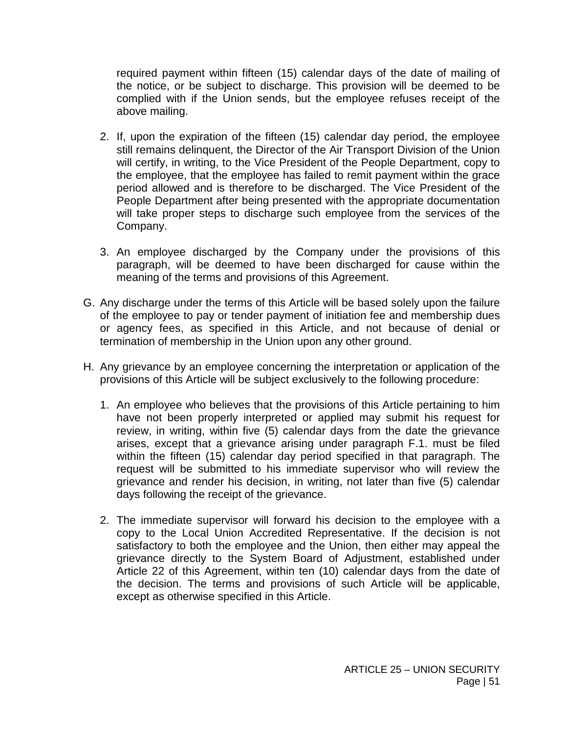required payment within fifteen (15) calendar days of the date of mailing of the notice, or be subject to discharge. This provision will be deemed to be complied with if the Union sends, but the employee refuses receipt of the above mailing.

- 2. If, upon the expiration of the fifteen (15) calendar day period, the employee still remains delinquent, the Director of the Air Transport Division of the Union will certify, in writing, to the Vice President of the People Department, copy to the employee, that the employee has failed to remit payment within the grace period allowed and is therefore to be discharged. The Vice President of the People Department after being presented with the appropriate documentation will take proper steps to discharge such employee from the services of the Company.
- 3. An employee discharged by the Company under the provisions of this paragraph, will be deemed to have been discharged for cause within the meaning of the terms and provisions of this Agreement.
- G. Any discharge under the terms of this Article will be based solely upon the failure of the employee to pay or tender payment of initiation fee and membership dues or agency fees, as specified in this Article, and not because of denial or termination of membership in the Union upon any other ground.
- H. Any grievance by an employee concerning the interpretation or application of the provisions of this Article will be subject exclusively to the following procedure:
	- 1. An employee who believes that the provisions of this Article pertaining to him have not been properly interpreted or applied may submit his request for review, in writing, within five (5) calendar days from the date the grievance arises, except that a grievance arising under paragraph F.1. must be filed within the fifteen (15) calendar day period specified in that paragraph. The request will be submitted to his immediate supervisor who will review the grievance and render his decision, in writing, not later than five (5) calendar days following the receipt of the grievance.
	- 2. The immediate supervisor will forward his decision to the employee with a copy to the Local Union Accredited Representative. If the decision is not satisfactory to both the employee and the Union, then either may appeal the grievance directly to the System Board of Adjustment, established under Article 22 of this Agreement, within ten (10) calendar days from the date of the decision. The terms and provisions of such Article will be applicable, except as otherwise specified in this Article.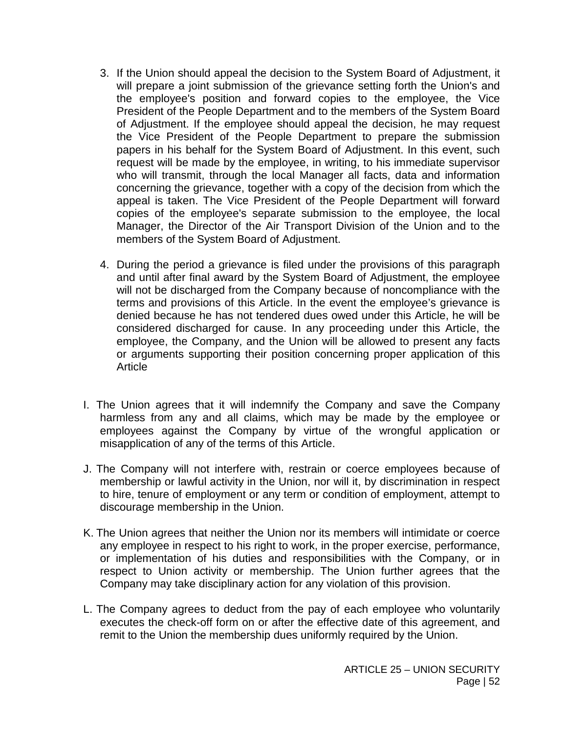- 3. If the Union should appeal the decision to the System Board of Adjustment, it will prepare a joint submission of the grievance setting forth the Union's and the employee's position and forward copies to the employee, the Vice President of the People Department and to the members of the System Board of Adjustment. If the employee should appeal the decision, he may request the Vice President of the People Department to prepare the submission papers in his behalf for the System Board of Adjustment. In this event, such request will be made by the employee, in writing, to his immediate supervisor who will transmit, through the local Manager all facts, data and information concerning the grievance, together with a copy of the decision from which the appeal is taken. The Vice President of the People Department will forward copies of the employee's separate submission to the employee, the local Manager, the Director of the Air Transport Division of the Union and to the members of the System Board of Adjustment.
- 4. During the period a grievance is filed under the provisions of this paragraph and until after final award by the System Board of Adjustment, the employee will not be discharged from the Company because of noncompliance with the terms and provisions of this Article. In the event the employee's grievance is denied because he has not tendered dues owed under this Article, he will be considered discharged for cause. In any proceeding under this Article, the employee, the Company, and the Union will be allowed to present any facts or arguments supporting their position concerning proper application of this Article
- I. The Union agrees that it will indemnify the Company and save the Company harmless from any and all claims, which may be made by the employee or employees against the Company by virtue of the wrongful application or misapplication of any of the terms of this Article.
- J. The Company will not interfere with, restrain or coerce employees because of membership or lawful activity in the Union, nor will it, by discrimination in respect to hire, tenure of employment or any term or condition of employment, attempt to discourage membership in the Union.
- K. The Union agrees that neither the Union nor its members will intimidate or coerce any employee in respect to his right to work, in the proper exercise, performance, or implementation of his duties and responsibilities with the Company, or in respect to Union activity or membership. The Union further agrees that the Company may take disciplinary action for any violation of this provision.
- L. The Company agrees to deduct from the pay of each employee who voluntarily executes the check-off form on or after the effective date of this agreement, and remit to the Union the membership dues uniformly required by the Union.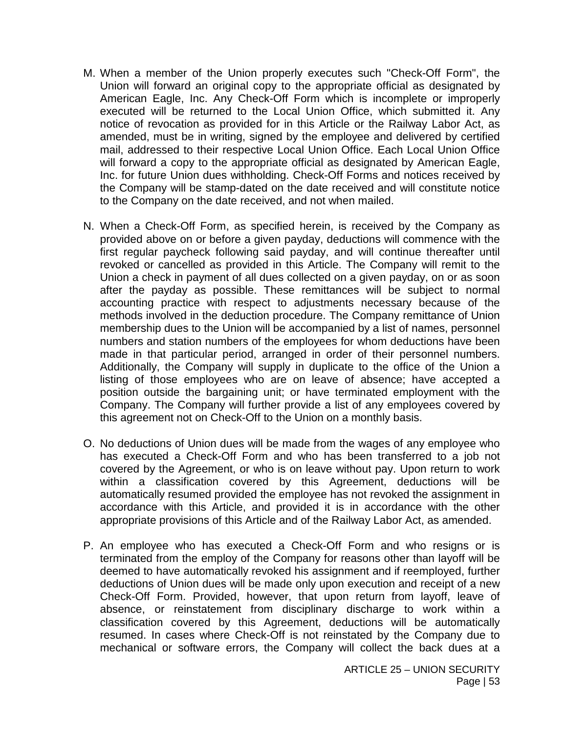- M. When a member of the Union properly executes such "Check-Off Form", the Union will forward an original copy to the appropriate official as designated by American Eagle, Inc. Any Check-Off Form which is incomplete or improperly executed will be returned to the Local Union Office, which submitted it. Any notice of revocation as provided for in this Article or the Railway Labor Act, as amended, must be in writing, signed by the employee and delivered by certified mail, addressed to their respective Local Union Office. Each Local Union Office will forward a copy to the appropriate official as designated by American Eagle, Inc. for future Union dues withholding. Check-Off Forms and notices received by the Company will be stamp-dated on the date received and will constitute notice to the Company on the date received, and not when mailed.
- N. When a Check-Off Form, as specified herein, is received by the Company as provided above on or before a given payday, deductions will commence with the first regular paycheck following said payday, and will continue thereafter until revoked or cancelled as provided in this Article. The Company will remit to the Union a check in payment of all dues collected on a given payday, on or as soon after the payday as possible. These remittances will be subject to normal accounting practice with respect to adjustments necessary because of the methods involved in the deduction procedure. The Company remittance of Union membership dues to the Union will be accompanied by a list of names, personnel numbers and station numbers of the employees for whom deductions have been made in that particular period, arranged in order of their personnel numbers. Additionally, the Company will supply in duplicate to the office of the Union a listing of those employees who are on leave of absence; have accepted a position outside the bargaining unit; or have terminated employment with the Company. The Company will further provide a list of any employees covered by this agreement not on Check-Off to the Union on a monthly basis.
- O. No deductions of Union dues will be made from the wages of any employee who has executed a Check-Off Form and who has been transferred to a job not covered by the Agreement, or who is on leave without pay. Upon return to work within a classification covered by this Agreement, deductions will be automatically resumed provided the employee has not revoked the assignment in accordance with this Article, and provided it is in accordance with the other appropriate provisions of this Article and of the Railway Labor Act, as amended.
- P. An employee who has executed a Check-Off Form and who resigns or is terminated from the employ of the Company for reasons other than layoff will be deemed to have automatically revoked his assignment and if reemployed, further deductions of Union dues will be made only upon execution and receipt of a new Check-Off Form. Provided, however, that upon return from layoff, leave of absence, or reinstatement from disciplinary discharge to work within a classification covered by this Agreement, deductions will be automatically resumed. In cases where Check-Off is not reinstated by the Company due to mechanical or software errors, the Company will collect the back dues at a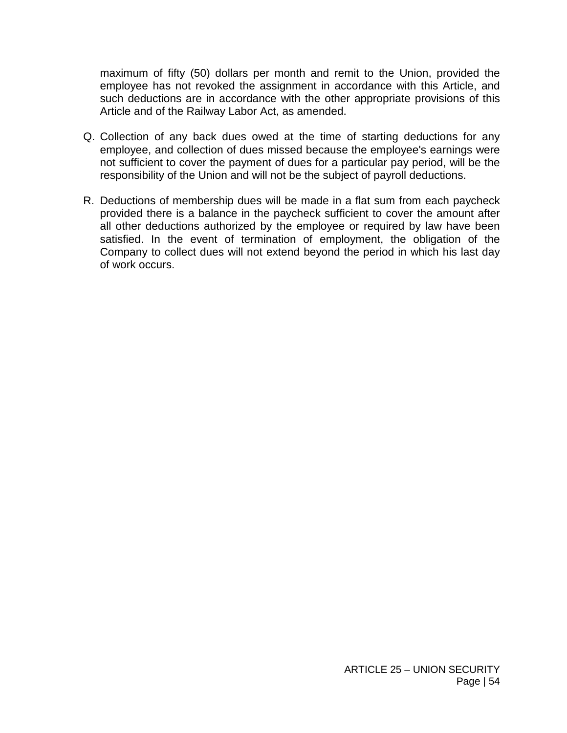maximum of fifty (50) dollars per month and remit to the Union, provided the employee has not revoked the assignment in accordance with this Article, and such deductions are in accordance with the other appropriate provisions of this Article and of the Railway Labor Act, as amended.

- Q. Collection of any back dues owed at the time of starting deductions for any employee, and collection of dues missed because the employee's earnings were not sufficient to cover the payment of dues for a particular pay period, will be the responsibility of the Union and will not be the subject of payroll deductions.
- R. Deductions of membership dues will be made in a flat sum from each paycheck provided there is a balance in the paycheck sufficient to cover the amount after all other deductions authorized by the employee or required by law have been satisfied. In the event of termination of employment, the obligation of the Company to collect dues will not extend beyond the period in which his last day of work occurs.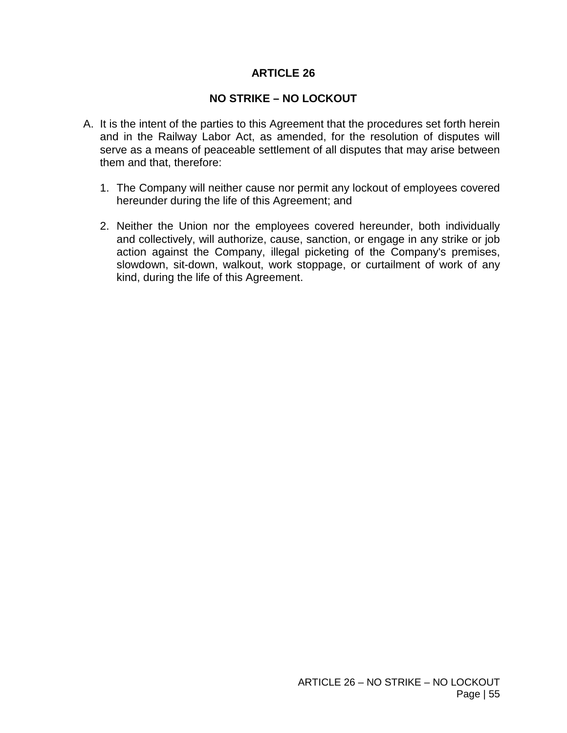## **NO STRIKE – NO LOCKOUT**

- A. It is the intent of the parties to this Agreement that the procedures set forth herein and in the Railway Labor Act, as amended, for the resolution of disputes will serve as a means of peaceable settlement of all disputes that may arise between them and that, therefore:
	- 1. The Company will neither cause nor permit any lockout of employees covered hereunder during the life of this Agreement; and
	- 2. Neither the Union nor the employees covered hereunder, both individually and collectively, will authorize, cause, sanction, or engage in any strike or job action against the Company, illegal picketing of the Company's premises, slowdown, sit-down, walkout, work stoppage, or curtailment of work of any kind, during the life of this Agreement.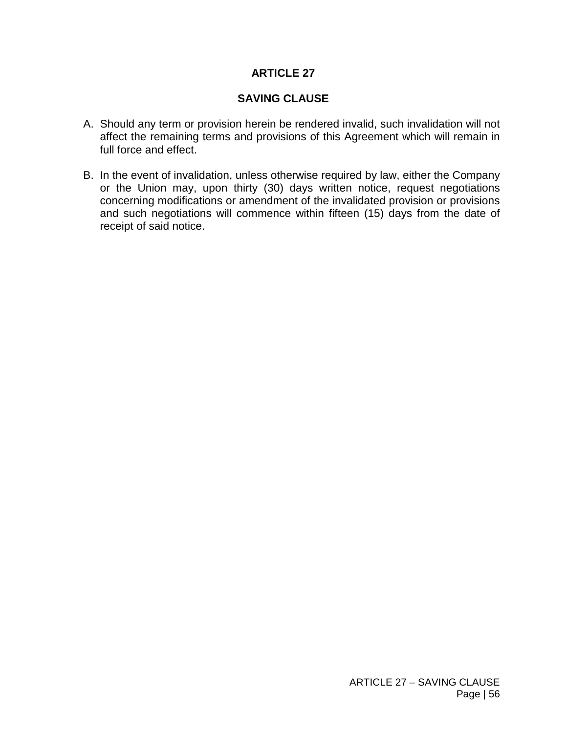# **SAVING CLAUSE**

- A. Should any term or provision herein be rendered invalid, such invalidation will not affect the remaining terms and provisions of this Agreement which will remain in full force and effect.
- B. In the event of invalidation, unless otherwise required by law, either the Company or the Union may, upon thirty (30) days written notice, request negotiations concerning modifications or amendment of the invalidated provision or provisions and such negotiations will commence within fifteen (15) days from the date of receipt of said notice.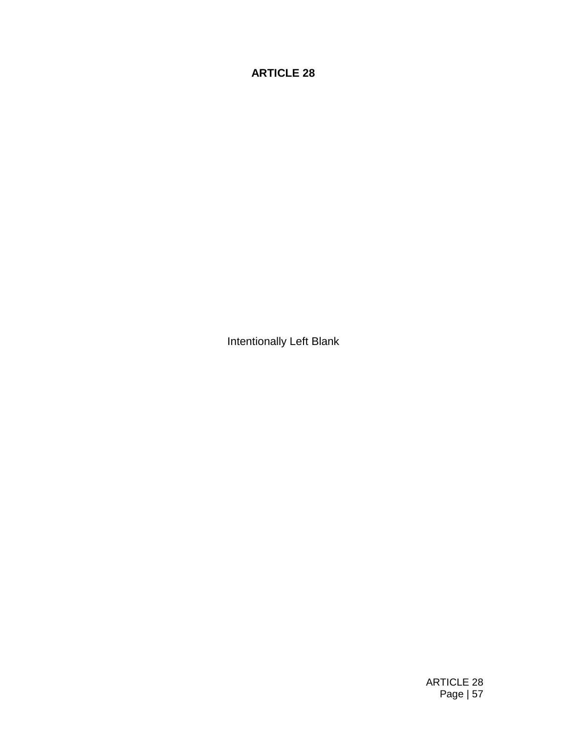Intentionally Left Blank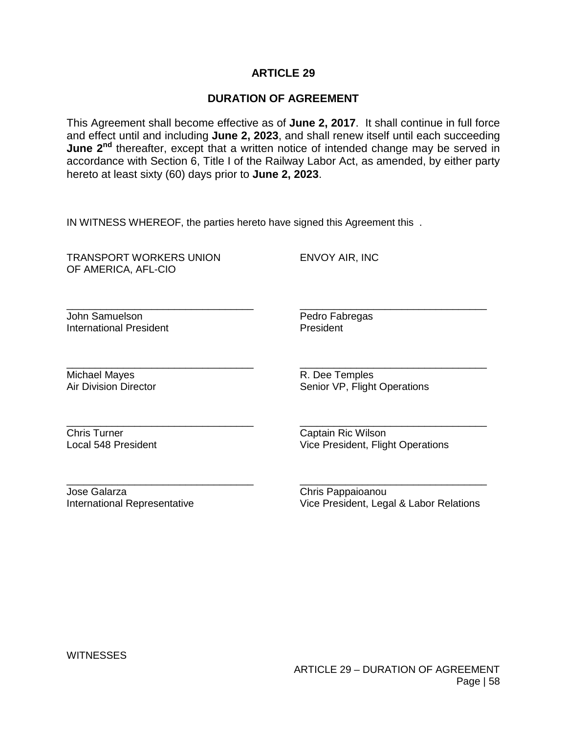### **DURATION OF AGREEMENT**

This Agreement shall become effective as of **June 2, 2017**. It shall continue in full force and effect until and including **June 2, 2023**, and shall renew itself until each succeeding **June 2<sup>nd</sup>** thereafter, except that a written notice of intended change may be served in accordance with Section 6, Title I of the Railway Labor Act, as amended, by either party hereto at least sixty (60) days prior to **June 2, 2023**.

\_\_\_\_\_\_\_\_\_\_\_\_\_\_\_\_\_\_\_\_\_\_\_\_\_\_\_\_\_\_\_\_\_ \_\_\_\_\_\_\_\_\_\_\_\_\_\_\_\_\_\_\_\_\_\_\_\_\_\_\_\_\_\_\_\_\_

IN WITNESS WHEREOF, the parties hereto have signed this Agreement this .

TRANSPORT WORKERS UNION ENVOY AIR, INC OF AMERICA, AFL-CIO

\_\_\_\_\_\_\_\_\_\_\_\_\_\_\_\_\_\_\_\_\_\_\_\_\_\_\_\_\_\_\_\_\_ \_\_\_\_\_\_\_\_\_\_\_\_\_\_\_\_\_\_\_\_\_\_\_\_\_\_\_\_\_\_\_\_\_ John Samuelson **Pedro Fabregas** International President **President President** 

Michael Mayes<br>
Air Division Director<br>
Air Division Director<br>
Air Division Director

Senior VP, Flight Operations

\_\_\_\_\_\_\_\_\_\_\_\_\_\_\_\_\_\_\_\_\_\_\_\_\_\_\_\_\_\_\_\_\_ \_\_\_\_\_\_\_\_\_\_\_\_\_\_\_\_\_\_\_\_\_\_\_\_\_\_\_\_\_\_\_\_\_ Chris Turner<br>
Local 548 President<br>
Local 548 President

Vice President, Flight Operations

Jose Galarza<br>
International Representative<br>
Vice President, Lega

\_\_\_\_\_\_\_\_\_\_\_\_\_\_\_\_\_\_\_\_\_\_\_\_\_\_\_\_\_\_\_\_\_ \_\_\_\_\_\_\_\_\_\_\_\_\_\_\_\_\_\_\_\_\_\_\_\_\_\_\_\_\_\_\_\_\_ Vice President, Legal & Labor Relations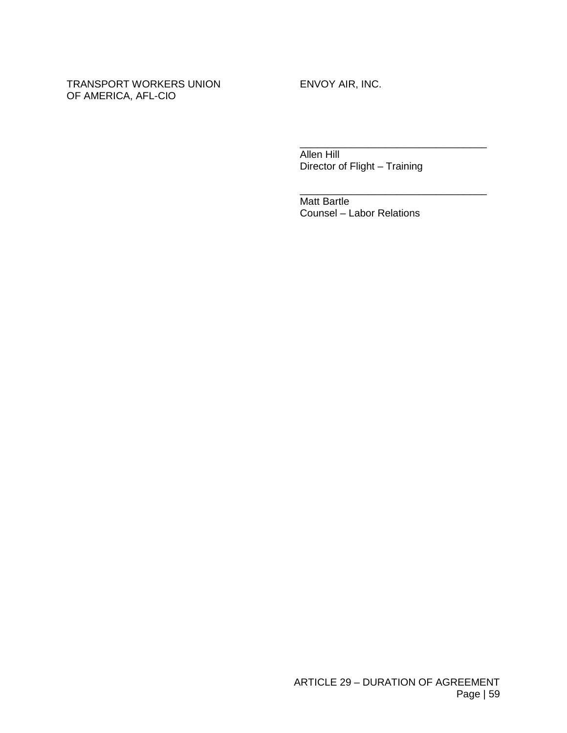#### TRANSPORT WORKERS UNION ENVOY AIR, INC. OF AMERICA, AFL-CIO

 Allen Hill Director of Flight – Training

\_\_\_\_\_\_\_\_\_\_\_\_\_\_\_\_\_\_\_\_\_\_\_\_\_\_\_\_\_\_\_\_\_

\_\_\_\_\_\_\_\_\_\_\_\_\_\_\_\_\_\_\_\_\_\_\_\_\_\_\_\_\_\_\_\_\_ Matt Bartle Counsel – Labor Relations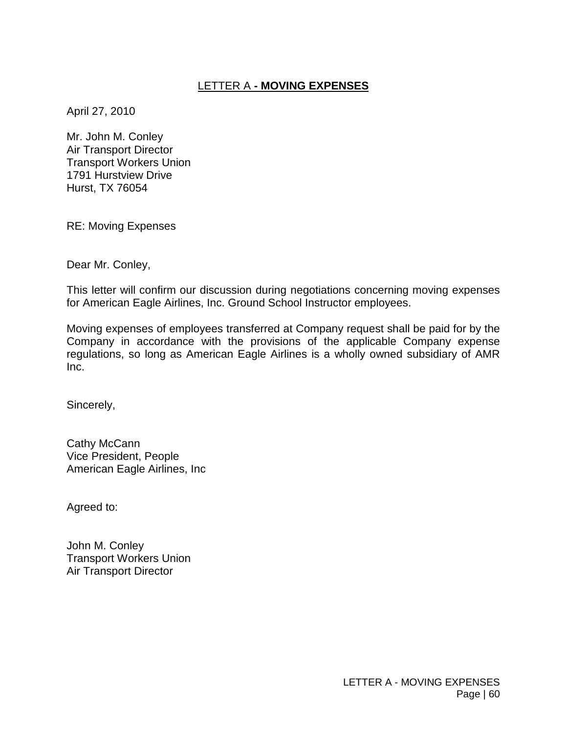# LETTER A **- MOVING EXPENSES**

April 27, 2010

Mr. John M. Conley Air Transport Director Transport Workers Union 1791 Hurstview Drive Hurst, TX 76054

RE: Moving Expenses

Dear Mr. Conley,

This letter will confirm our discussion during negotiations concerning moving expenses for American Eagle Airlines, Inc. Ground School Instructor employees.

Moving expenses of employees transferred at Company request shall be paid for by the Company in accordance with the provisions of the applicable Company expense regulations, so long as American Eagle Airlines is a wholly owned subsidiary of AMR Inc.

Sincerely,

Cathy McCann Vice President, People American Eagle Airlines, Inc

Agreed to: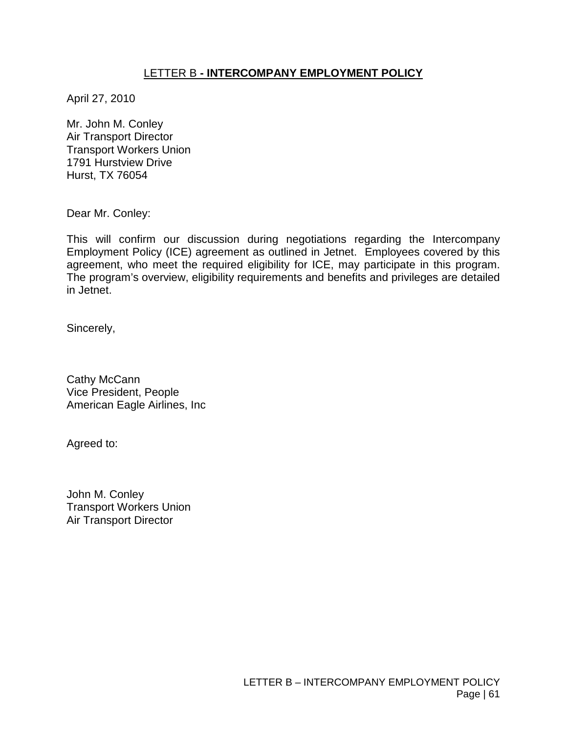## LETTER B **- INTERCOMPANY EMPLOYMENT POLICY**

April 27, 2010

Mr. John M. Conley Air Transport Director Transport Workers Union 1791 Hurstview Drive Hurst, TX 76054

Dear Mr. Conley:

This will confirm our discussion during negotiations regarding the Intercompany Employment Policy (ICE) agreement as outlined in Jetnet. Employees covered by this agreement, who meet the required eligibility for ICE, may participate in this program. The program's overview, eligibility requirements and benefits and privileges are detailed in Jetnet.

Sincerely,

Cathy McCann Vice President, People American Eagle Airlines, Inc

Agreed to: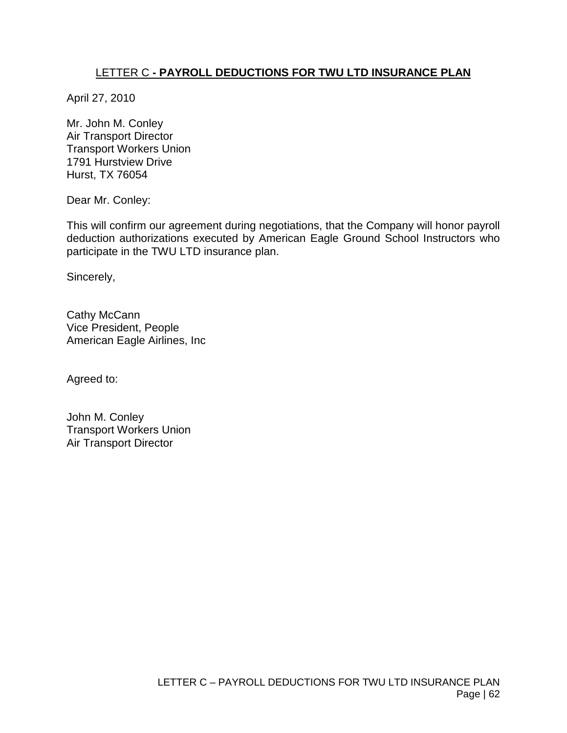# LETTER C **- PAYROLL DEDUCTIONS FOR TWU LTD INSURANCE PLAN**

April 27, 2010

Mr. John M. Conley Air Transport Director Transport Workers Union 1791 Hurstview Drive Hurst, TX 76054

Dear Mr. Conley:

This will confirm our agreement during negotiations, that the Company will honor payroll deduction authorizations executed by American Eagle Ground School Instructors who participate in the TWU LTD insurance plan.

Sincerely,

Cathy McCann Vice President, People American Eagle Airlines, Inc

Agreed to: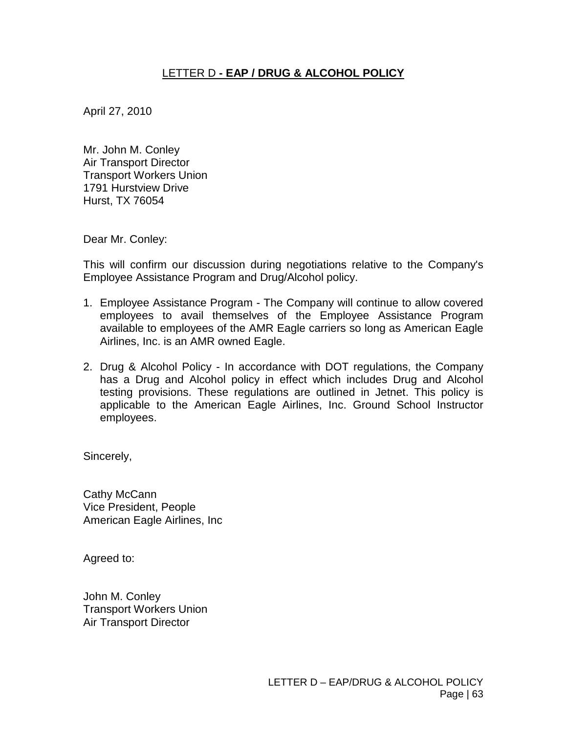# LETTER D **- EAP / DRUG & ALCOHOL POLICY**

April 27, 2010

Mr. John M. Conley Air Transport Director Transport Workers Union 1791 Hurstview Drive Hurst, TX 76054

Dear Mr. Conley:

This will confirm our discussion during negotiations relative to the Company's Employee Assistance Program and Drug/Alcohol policy.

- 1. Employee Assistance Program The Company will continue to allow covered employees to avail themselves of the Employee Assistance Program available to employees of the AMR Eagle carriers so long as American Eagle Airlines, Inc. is an AMR owned Eagle.
- 2. Drug & Alcohol Policy In accordance with DOT regulations, the Company has a Drug and Alcohol policy in effect which includes Drug and Alcohol testing provisions. These regulations are outlined in Jetnet. This policy is applicable to the American Eagle Airlines, Inc. Ground School Instructor employees.

Sincerely,

Cathy McCann Vice President, People American Eagle Airlines, Inc

Agreed to: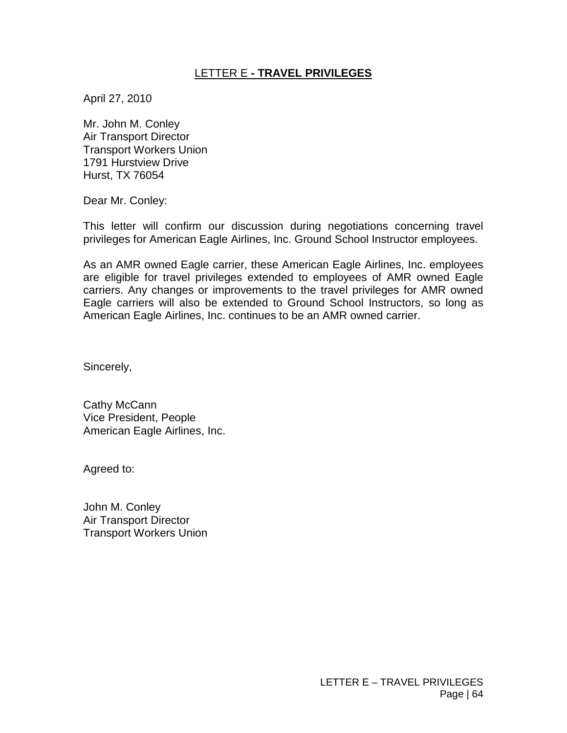# LETTER E **- TRAVEL PRIVILEGES**

April 27, 2010

Mr. John M. Conley Air Transport Director Transport Workers Union 1791 Hurstview Drive Hurst, TX 76054

Dear Mr. Conley:

This letter will confirm our discussion during negotiations concerning travel privileges for American Eagle Airlines, Inc. Ground School Instructor employees.

As an AMR owned Eagle carrier, these American Eagle Airlines, Inc. employees are eligible for travel privileges extended to employees of AMR owned Eagle carriers. Any changes or improvements to the travel privileges for AMR owned Eagle carriers will also be extended to Ground School Instructors, so long as American Eagle Airlines, Inc. continues to be an AMR owned carrier.

Sincerely,

Cathy McCann Vice President, People American Eagle Airlines, Inc.

Agreed to:

John M. Conley Air Transport Director Transport Workers Union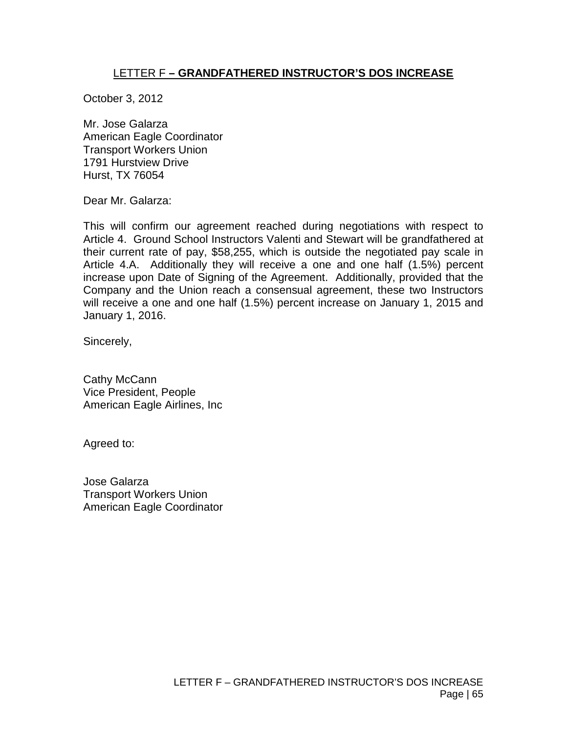### LETTER F **– GRANDFATHERED INSTRUCTOR'S DOS INCREASE**

October 3, 2012

Mr. Jose Galarza American Eagle Coordinator Transport Workers Union 1791 Hurstview Drive Hurst, TX 76054

Dear Mr. Galarza:

This will confirm our agreement reached during negotiations with respect to Article 4. Ground School Instructors Valenti and Stewart will be grandfathered at their current rate of pay, \$58,255, which is outside the negotiated pay scale in Article 4.A. Additionally they will receive a one and one half (1.5%) percent increase upon Date of Signing of the Agreement. Additionally, provided that the Company and the Union reach a consensual agreement, these two Instructors will receive a one and one half (1.5%) percent increase on January 1, 2015 and January 1, 2016.

Sincerely,

Cathy McCann Vice President, People American Eagle Airlines, Inc

Agreed to:

Jose Galarza Transport Workers Union American Eagle Coordinator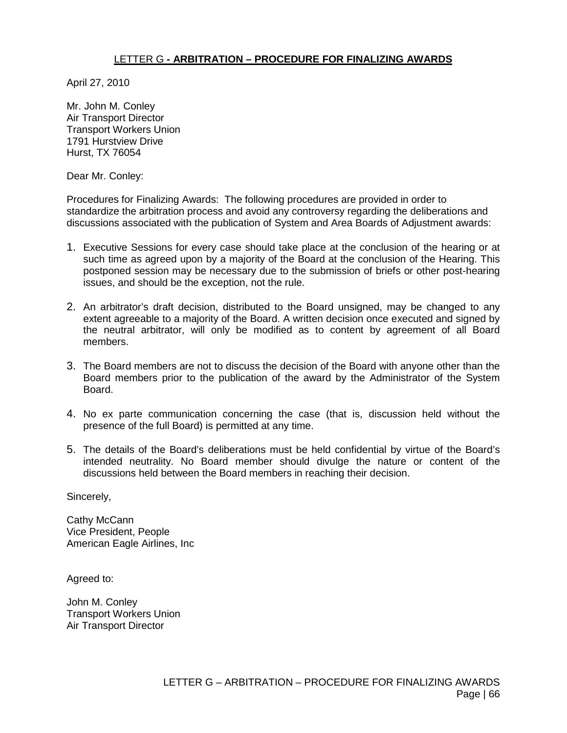#### LETTER G **- ARBITRATION – PROCEDURE FOR FINALIZING AWARDS**

April 27, 2010

Mr. John M. Conley Air Transport Director Transport Workers Union 1791 Hurstview Drive Hurst, TX 76054

Dear Mr. Conley:

Procedures for Finalizing Awards: The following procedures are provided in order to standardize the arbitration process and avoid any controversy regarding the deliberations and discussions associated with the publication of System and Area Boards of Adjustment awards:

- 1. Executive Sessions for every case should take place at the conclusion of the hearing or at such time as agreed upon by a majority of the Board at the conclusion of the Hearing. This postponed session may be necessary due to the submission of briefs or other post-hearing issues, and should be the exception, not the rule.
- 2. An arbitrator's draft decision, distributed to the Board unsigned, may be changed to any extent agreeable to a majority of the Board. A written decision once executed and signed by the neutral arbitrator, will only be modified as to content by agreement of all Board members.
- 3. The Board members are not to discuss the decision of the Board with anyone other than the Board members prior to the publication of the award by the Administrator of the System Board.
- 4. No ex parte communication concerning the case (that is, discussion held without the presence of the full Board) is permitted at any time.
- 5. The details of the Board's deliberations must be held confidential by virtue of the Board's intended neutrality. No Board member should divulge the nature or content of the discussions held between the Board members in reaching their decision.

Sincerely,

Cathy McCann Vice President, People American Eagle Airlines, Inc

Agreed to: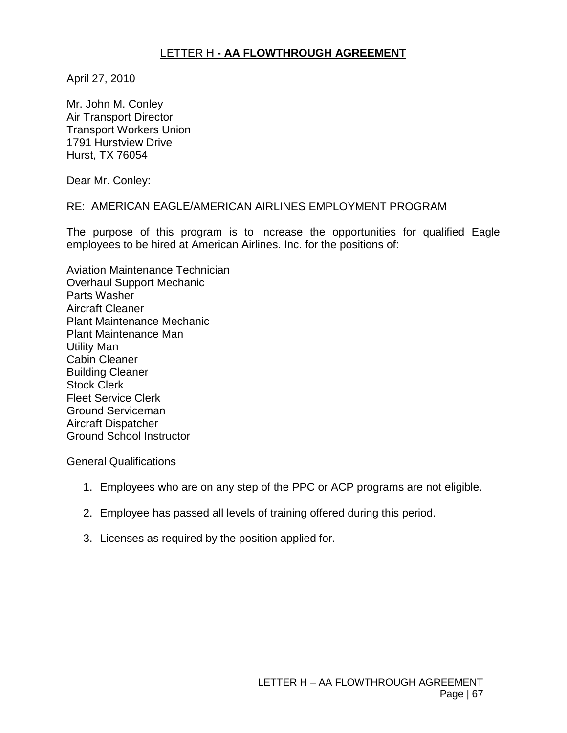# LETTER H **- AA FLOWTHROUGH AGREEMENT**

April 27, 2010

Mr. John M. Conley Air Transport Director Transport Workers Union 1791 Hurstview Drive Hurst, TX 76054

Dear Mr. Conley:

#### RE: AMERICAN EAGLE/AMERICAN AIRLINES EMPLOYMENT PROGRAM

The purpose of this program is to increase the opportunities for qualified Eagle employees to be hired at American Airlines. Inc. for the positions of:

Aviation Maintenance Technician Overhaul Support Mechanic Parts Washer Aircraft Cleaner Plant Maintenance Mechanic Plant Maintenance Man Utility Man Cabin Cleaner Building Cleaner Stock Clerk Fleet Service Clerk Ground Serviceman Aircraft Dispatcher Ground School Instructor

General Qualifications

- 1. Employees who are on any step of the PPC or ACP programs are not eligible.
- 2. Employee has passed all levels of training offered during this period.
- 3. Licenses as required by the position applied for.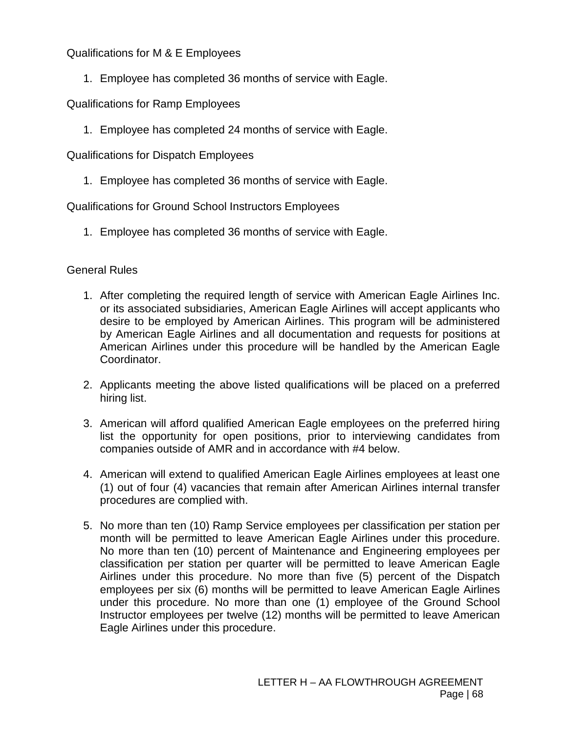## Qualifications for M & E Employees

1. Employee has completed 36 months of service with Eagle.

Qualifications for Ramp Employees

1. Employee has completed 24 months of service with Eagle.

Qualifications for Dispatch Employees

1. Employee has completed 36 months of service with Eagle.

Qualifications for Ground School Instructors Employees

1. Employee has completed 36 months of service with Eagle.

### General Rules

- 1. After completing the required length of service with American Eagle Airlines Inc. or its associated subsidiaries, American Eagle Airlines will accept applicants who desire to be employed by American Airlines. This program will be administered by American Eagle Airlines and all documentation and requests for positions at American Airlines under this procedure will be handled by the American Eagle Coordinator.
- 2. Applicants meeting the above listed qualifications will be placed on a preferred hiring list.
- 3. American will afford qualified American Eagle employees on the preferred hiring list the opportunity for open positions, prior to interviewing candidates from companies outside of AMR and in accordance with #4 below.
- 4. American will extend to qualified American Eagle Airlines employees at least one (1) out of four (4) vacancies that remain after American Airlines internal transfer procedures are complied with.
- 5. No more than ten (10) Ramp Service employees per classification per station per month will be permitted to leave American Eagle Airlines under this procedure. No more than ten (10) percent of Maintenance and Engineering employees per classification per station per quarter will be permitted to leave American Eagle Airlines under this procedure. No more than five (5) percent of the Dispatch employees per six (6) months will be permitted to leave American Eagle Airlines under this procedure. No more than one (1) employee of the Ground School Instructor employees per twelve (12) months will be permitted to leave American Eagle Airlines under this procedure.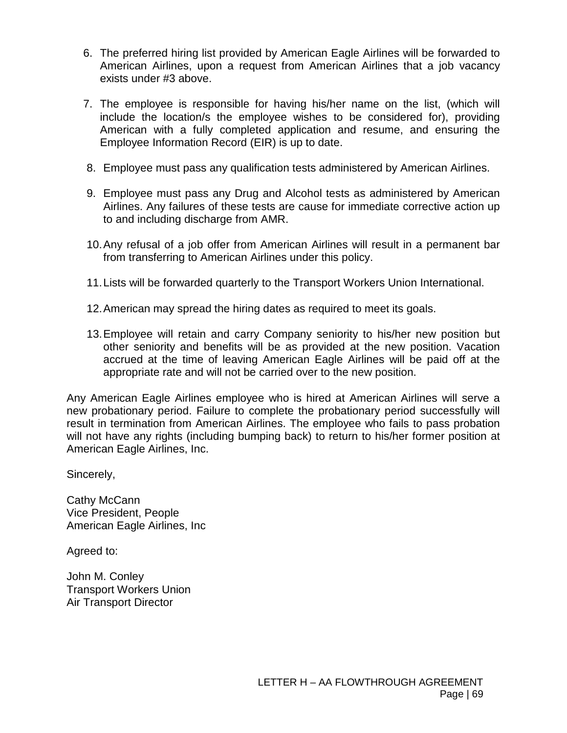- 6. The preferred hiring list provided by American Eagle Airlines will be forwarded to American Airlines, upon a request from American Airlines that a job vacancy exists under #3 above.
- 7. The employee is responsible for having his/her name on the list, (which will include the location/s the employee wishes to be considered for), providing American with a fully completed application and resume, and ensuring the Employee Information Record (EIR) is up to date.
- 8. Employee must pass any qualification tests administered by American Airlines.
- 9. Employee must pass any Drug and Alcohol tests as administered by American Airlines. Any failures of these tests are cause for immediate corrective action up to and including discharge from AMR.
- 10.Any refusal of a job offer from American Airlines will result in a permanent bar from transferring to American Airlines under this policy.
- 11.Lists will be forwarded quarterly to the Transport Workers Union International.
- 12.American may spread the hiring dates as required to meet its goals.
- 13.Employee will retain and carry Company seniority to his/her new position but other seniority and benefits will be as provided at the new position. Vacation accrued at the time of leaving American Eagle Airlines will be paid off at the appropriate rate and will not be carried over to the new position.

Any American Eagle Airlines employee who is hired at American Airlines will serve a new probationary period. Failure to complete the probationary period successfully will result in termination from American Airlines. The employee who fails to pass probation will not have any rights (including bumping back) to return to his/her former position at American Eagle Airlines, Inc.

Sincerely,

Cathy McCann Vice President, People American Eagle Airlines, Inc

Agreed to: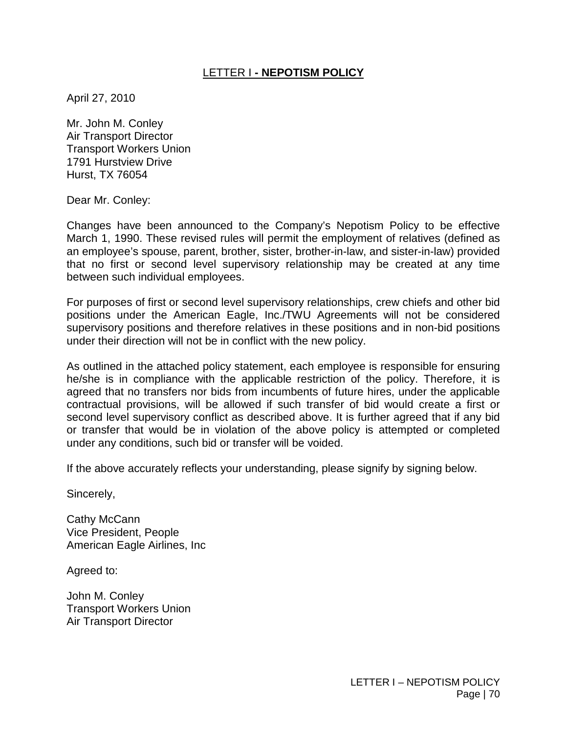## LETTER I **- NEPOTISM POLICY**

April 27, 2010

Mr. John M. Conley Air Transport Director Transport Workers Union 1791 Hurstview Drive Hurst, TX 76054

Dear Mr. Conley:

Changes have been announced to the Company's Nepotism Policy to be effective March 1, 1990. These revised rules will permit the employment of relatives (defined as an employee's spouse, parent, brother, sister, brother-in-law, and sister-in-law) provided that no first or second level supervisory relationship may be created at any time between such individual employees.

For purposes of first or second level supervisory relationships, crew chiefs and other bid positions under the American Eagle, Inc./TWU Agreements will not be considered supervisory positions and therefore relatives in these positions and in non-bid positions under their direction will not be in conflict with the new policy.

As outlined in the attached policy statement, each employee is responsible for ensuring he/she is in compliance with the applicable restriction of the policy. Therefore, it is agreed that no transfers nor bids from incumbents of future hires, under the applicable contractual provisions, will be allowed if such transfer of bid would create a first or second level supervisory conflict as described above. It is further agreed that if any bid or transfer that would be in violation of the above policy is attempted or completed under any conditions, such bid or transfer will be voided.

If the above accurately reflects your understanding, please signify by signing below.

Sincerely,

Cathy McCann Vice President, People American Eagle Airlines, Inc

Agreed to: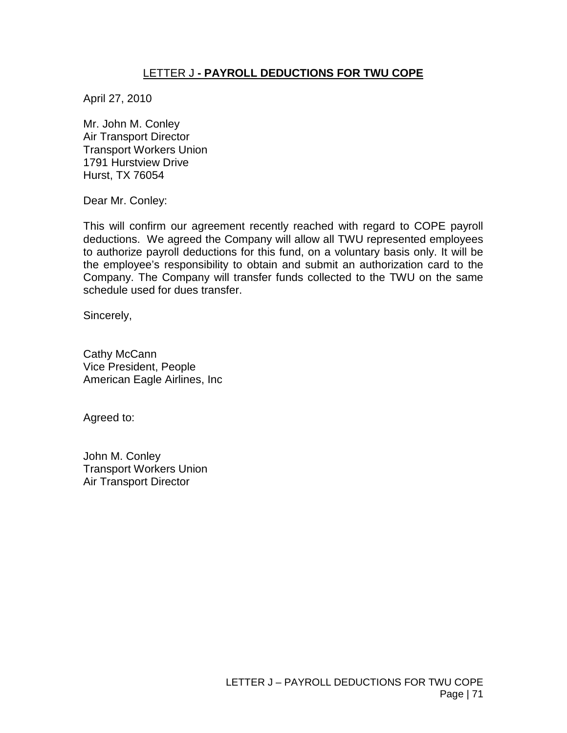## LETTER J **- PAYROLL DEDUCTIONS FOR TWU COPE**

April 27, 2010

Mr. John M. Conley Air Transport Director Transport Workers Union 1791 Hurstview Drive Hurst, TX 76054

Dear Mr. Conley:

This will confirm our agreement recently reached with regard to COPE payroll deductions. We agreed the Company will allow all TWU represented employees to authorize payroll deductions for this fund, on a voluntary basis only. It will be the employee's responsibility to obtain and submit an authorization card to the Company. The Company will transfer funds collected to the TWU on the same schedule used for dues transfer.

Sincerely,

Cathy McCann Vice President, People American Eagle Airlines, Inc

Agreed to: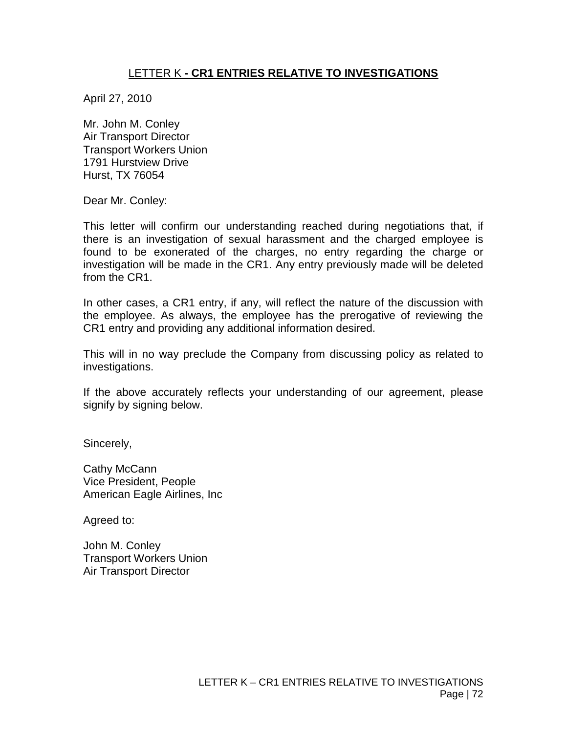## LETTER K **- CR1 ENTRIES RELATIVE TO INVESTIGATIONS**

April 27, 2010

Mr. John M. Conley Air Transport Director Transport Workers Union 1791 Hurstview Drive Hurst, TX 76054

Dear Mr. Conley:

This letter will confirm our understanding reached during negotiations that, if there is an investigation of sexual harassment and the charged employee is found to be exonerated of the charges, no entry regarding the charge or investigation will be made in the CR1. Any entry previously made will be deleted from the CR1.

In other cases, a CR1 entry, if any, will reflect the nature of the discussion with the employee. As always, the employee has the prerogative of reviewing the CR1 entry and providing any additional information desired.

This will in no way preclude the Company from discussing policy as related to investigations.

If the above accurately reflects your understanding of our agreement, please signify by signing below.

Sincerely,

Cathy McCann Vice President, People American Eagle Airlines, Inc

Agreed to: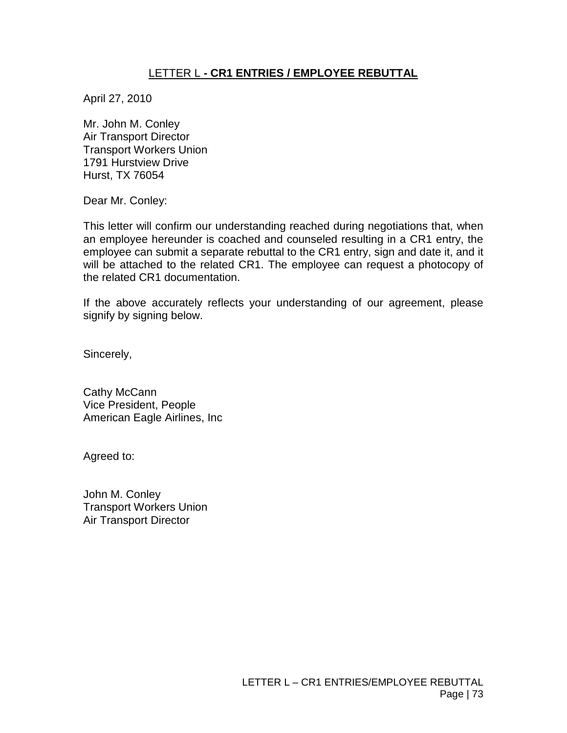## LETTER L **- CR1 ENTRIES / EMPLOYEE REBUTTAL**

April 27, 2010

Mr. John M. Conley Air Transport Director Transport Workers Union 1791 Hurstview Drive Hurst, TX 76054

Dear Mr. Conley:

This letter will confirm our understanding reached during negotiations that, when an employee hereunder is coached and counseled resulting in a CR1 entry, the employee can submit a separate rebuttal to the CR1 entry, sign and date it, and it will be attached to the related CR1. The employee can request a photocopy of the related CR1 documentation.

If the above accurately reflects your understanding of our agreement, please signify by signing below.

Sincerely,

Cathy McCann Vice President, People American Eagle Airlines, Inc

Agreed to:

John M. Conley Transport Workers Union Air Transport Director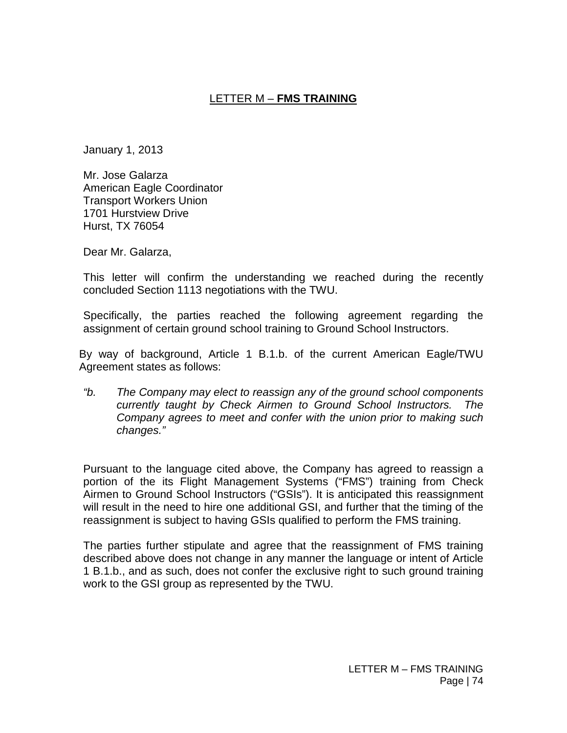## LETTER M – **FMS TRAINING**

January 1, 2013

Mr. Jose Galarza American Eagle Coordinator Transport Workers Union 1701 Hurstview Drive Hurst, TX 76054

Dear Mr. Galarza,

This letter will confirm the understanding we reached during the recently concluded Section 1113 negotiations with the TWU.

Specifically, the parties reached the following agreement regarding the assignment of certain ground school training to Ground School Instructors.

By way of background, Article 1 B.1.b. of the current American Eagle/TWU Agreement states as follows:

*"b. The Company may elect to reassign any of the ground school components currently taught by Check Airmen to Ground School Instructors. The Company agrees to meet and confer with the union prior to making such changes."*

Pursuant to the language cited above, the Company has agreed to reassign a portion of the its Flight Management Systems ("FMS") training from Check Airmen to Ground School Instructors ("GSIs"). It is anticipated this reassignment will result in the need to hire one additional GSI, and further that the timing of the reassignment is subject to having GSIs qualified to perform the FMS training.

The parties further stipulate and agree that the reassignment of FMS training described above does not change in any manner the language or intent of Article 1 B.1.b., and as such, does not confer the exclusive right to such ground training work to the GSI group as represented by the TWU.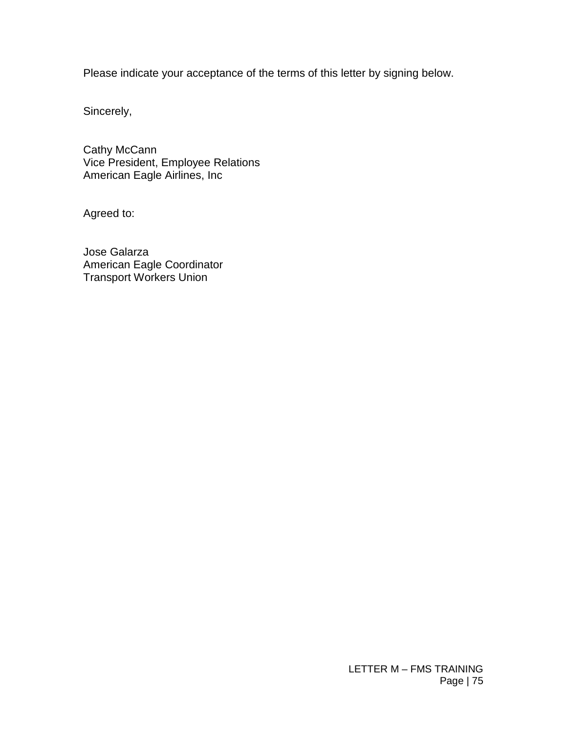Please indicate your acceptance of the terms of this letter by signing below.

Sincerely,

Cathy McCann Vice President, Employee Relations American Eagle Airlines, Inc

Agreed to:

Jose Galarza American Eagle Coordinator Transport Workers Union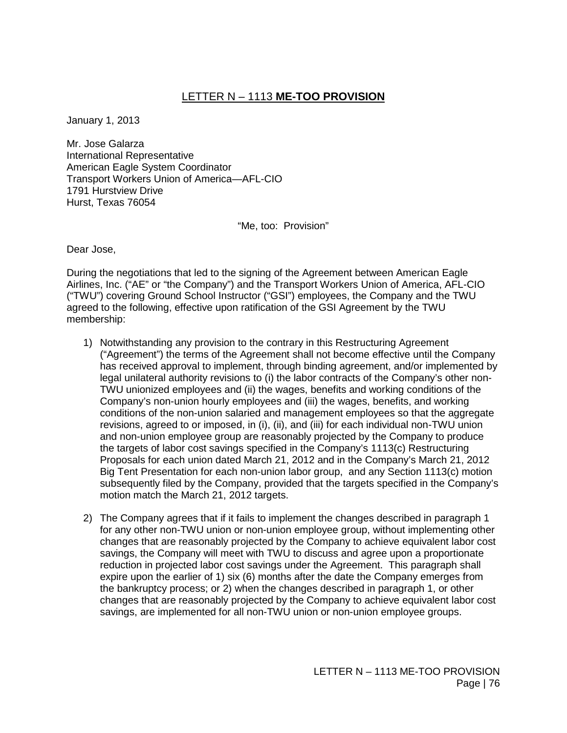## LETTER N – 1113 **ME-TOO PROVISION**

January 1, 2013

Mr. Jose Galarza International Representative American Eagle System Coordinator Transport Workers Union of America—AFL-CIO 1791 Hurstview Drive Hurst, Texas 76054

"Me, too: Provision"

Dear Jose,

During the negotiations that led to the signing of the Agreement between American Eagle Airlines, Inc. ("AE" or "the Company") and the Transport Workers Union of America, AFL-CIO ("TWU") covering Ground School Instructor ("GSI") employees, the Company and the TWU agreed to the following, effective upon ratification of the GSI Agreement by the TWU membership:

- 1) Notwithstanding any provision to the contrary in this Restructuring Agreement ("Agreement") the terms of the Agreement shall not become effective until the Company has received approval to implement, through binding agreement, and/or implemented by legal unilateral authority revisions to (i) the labor contracts of the Company's other non-TWU unionized employees and (ii) the wages, benefits and working conditions of the Company's non-union hourly employees and (iii) the wages, benefits, and working conditions of the non-union salaried and management employees so that the aggregate revisions, agreed to or imposed, in (i), (ii), and (iii) for each individual non-TWU union and non-union employee group are reasonably projected by the Company to produce the targets of labor cost savings specified in the Company's 1113(c) Restructuring Proposals for each union dated March 21, 2012 and in the Company's March 21, 2012 Big Tent Presentation for each non-union labor group, and any Section 1113(c) motion subsequently filed by the Company, provided that the targets specified in the Company's motion match the March 21, 2012 targets.
- 2) The Company agrees that if it fails to implement the changes described in paragraph 1 for any other non-TWU union or non-union employee group, without implementing other changes that are reasonably projected by the Company to achieve equivalent labor cost savings, the Company will meet with TWU to discuss and agree upon a proportionate reduction in projected labor cost savings under the Agreement. This paragraph shall expire upon the earlier of 1) six (6) months after the date the Company emerges from the bankruptcy process; or 2) when the changes described in paragraph 1, or other changes that are reasonably projected by the Company to achieve equivalent labor cost savings, are implemented for all non-TWU union or non-union employee groups.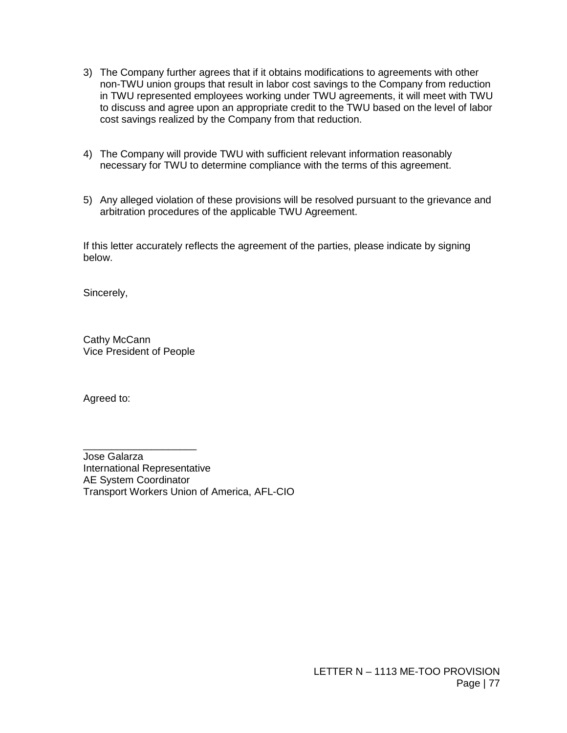- 3) The Company further agrees that if it obtains modifications to agreements with other non-TWU union groups that result in labor cost savings to the Company from reduction in TWU represented employees working under TWU agreements, it will meet with TWU to discuss and agree upon an appropriate credit to the TWU based on the level of labor cost savings realized by the Company from that reduction.
- 4) The Company will provide TWU with sufficient relevant information reasonably necessary for TWU to determine compliance with the terms of this agreement.
- 5) Any alleged violation of these provisions will be resolved pursuant to the grievance and arbitration procedures of the applicable TWU Agreement.

If this letter accurately reflects the agreement of the parties, please indicate by signing below.

Sincerely,

Cathy McCann Vice President of People

\_\_\_\_\_\_\_\_\_\_\_\_\_\_\_\_\_\_\_\_

Agreed to:

Jose Galarza International Representative AE System Coordinator Transport Workers Union of America, AFL-CIO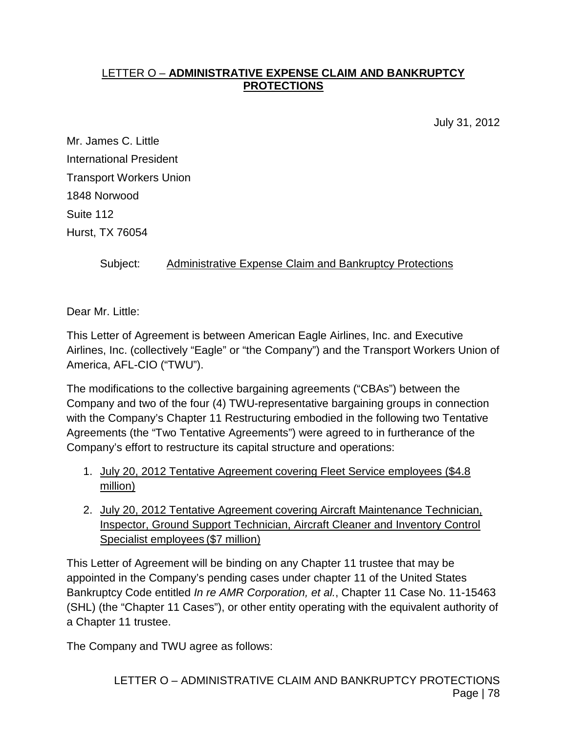## LETTER O – **ADMINISTRATIVE EXPENSE CLAIM AND BANKRUPTCY PROTECTIONS**

July 31, 2012

Mr. James C. Little International President Transport Workers Union 1848 Norwood Suite 112 Hurst, TX 76054

Subject: Administrative Expense Claim and Bankruptcy Protections

Dear Mr. Little:

This Letter of Agreement is between American Eagle Airlines, Inc. and Executive Airlines, Inc. (collectively "Eagle" or "the Company") and the Transport Workers Union of America, AFL-CIO ("TWU").

The modifications to the collective bargaining agreements ("CBAs") between the Company and two of the four (4) TWU-representative bargaining groups in connection with the Company's Chapter 11 Restructuring embodied in the following two Tentative Agreements (the "Two Tentative Agreements") were agreed to in furtherance of the Company's effort to restructure its capital structure and operations:

- 1. July 20, 2012 Tentative Agreement covering Fleet Service employees (\$4.8 million)
- 2. July 20, 2012 Tentative Agreement covering Aircraft Maintenance Technician, Inspector, Ground Support Technician, Aircraft Cleaner and Inventory Control Specialist employees (\$7 million)

This Letter of Agreement will be binding on any Chapter 11 trustee that may be appointed in the Company's pending cases under chapter 11 of the United States Bankruptcy Code entitled *In re AMR Corporation, et al.*, Chapter 11 Case No. 11-15463 (SHL) (the "Chapter 11 Cases"), or other entity operating with the equivalent authority of a Chapter 11 trustee.

The Company and TWU agree as follows: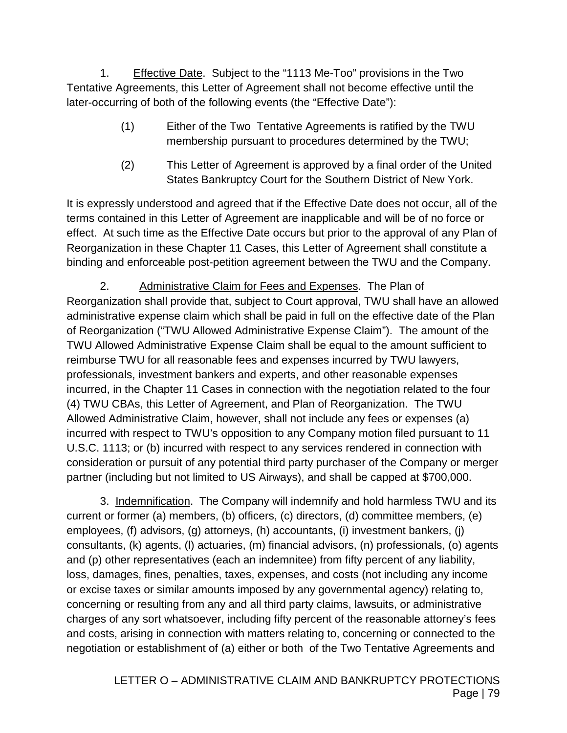1. Effective Date. Subject to the "1113 Me-Too" provisions in the Two Tentative Agreements, this Letter of Agreement shall not become effective until the later-occurring of both of the following events (the "Effective Date"):

- (1) Either of the Two Tentative Agreements is ratified by the TWU membership pursuant to procedures determined by the TWU;
- (2) This Letter of Agreement is approved by a final order of the United States Bankruptcy Court for the Southern District of New York.

It is expressly understood and agreed that if the Effective Date does not occur, all of the terms contained in this Letter of Agreement are inapplicable and will be of no force or effect. At such time as the Effective Date occurs but prior to the approval of any Plan of Reorganization in these Chapter 11 Cases, this Letter of Agreement shall constitute a binding and enforceable post-petition agreement between the TWU and the Company.

2. Administrative Claim for Fees and Expenses. The Plan of Reorganization shall provide that, subject to Court approval, TWU shall have an allowed administrative expense claim which shall be paid in full on the effective date of the Plan of Reorganization ("TWU Allowed Administrative Expense Claim"). The amount of the TWU Allowed Administrative Expense Claim shall be equal to the amount sufficient to reimburse TWU for all reasonable fees and expenses incurred by TWU lawyers, professionals, investment bankers and experts, and other reasonable expenses incurred, in the Chapter 11 Cases in connection with the negotiation related to the four (4) TWU CBAs, this Letter of Agreement, and Plan of Reorganization. The TWU Allowed Administrative Claim, however, shall not include any fees or expenses (a) incurred with respect to TWU's opposition to any Company motion filed pursuant to 11 U.S.C. 1113; or (b) incurred with respect to any services rendered in connection with consideration or pursuit of any potential third party purchaser of the Company or merger partner (including but not limited to US Airways), and shall be capped at \$700,000.

3. Indemnification. The Company will indemnify and hold harmless TWU and its current or former (a) members, (b) officers, (c) directors, (d) committee members, (e) employees, (f) advisors, (g) attorneys, (h) accountants, (i) investment bankers, (j) consultants, (k) agents, (l) actuaries, (m) financial advisors, (n) professionals, (o) agents and (p) other representatives (each an indemnitee) from fifty percent of any liability, loss, damages, fines, penalties, taxes, expenses, and costs (not including any income or excise taxes or similar amounts imposed by any governmental agency) relating to, concerning or resulting from any and all third party claims, lawsuits, or administrative charges of any sort whatsoever, including fifty percent of the reasonable attorney's fees and costs, arising in connection with matters relating to, concerning or connected to the negotiation or establishment of (a) either or both of the Two Tentative Agreements and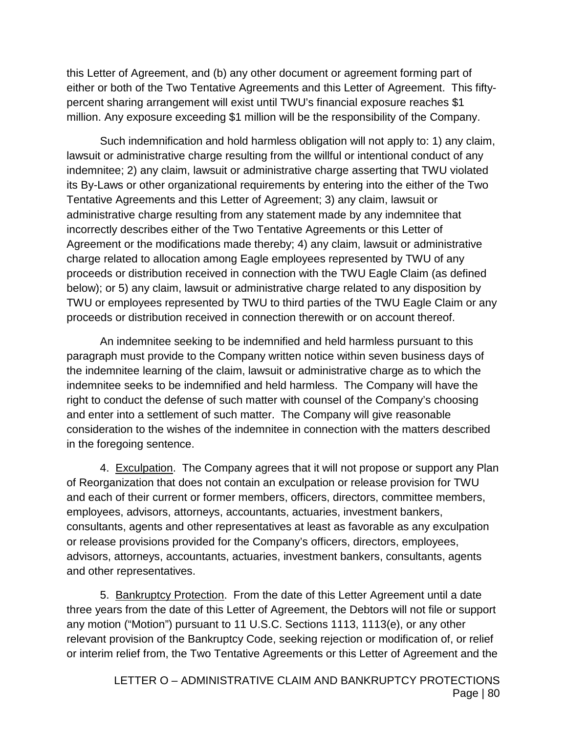this Letter of Agreement, and (b) any other document or agreement forming part of either or both of the Two Tentative Agreements and this Letter of Agreement. This fiftypercent sharing arrangement will exist until TWU's financial exposure reaches \$1 million. Any exposure exceeding \$1 million will be the responsibility of the Company.

Such indemnification and hold harmless obligation will not apply to: 1) any claim, lawsuit or administrative charge resulting from the willful or intentional conduct of any indemnitee; 2) any claim, lawsuit or administrative charge asserting that TWU violated its By-Laws or other organizational requirements by entering into the either of the Two Tentative Agreements and this Letter of Agreement; 3) any claim, lawsuit or administrative charge resulting from any statement made by any indemnitee that incorrectly describes either of the Two Tentative Agreements or this Letter of Agreement or the modifications made thereby; 4) any claim, lawsuit or administrative charge related to allocation among Eagle employees represented by TWU of any proceeds or distribution received in connection with the TWU Eagle Claim (as defined below); or 5) any claim, lawsuit or administrative charge related to any disposition by TWU or employees represented by TWU to third parties of the TWU Eagle Claim or any proceeds or distribution received in connection therewith or on account thereof.

An indemnitee seeking to be indemnified and held harmless pursuant to this paragraph must provide to the Company written notice within seven business days of the indemnitee learning of the claim, lawsuit or administrative charge as to which the indemnitee seeks to be indemnified and held harmless. The Company will have the right to conduct the defense of such matter with counsel of the Company's choosing and enter into a settlement of such matter. The Company will give reasonable consideration to the wishes of the indemnitee in connection with the matters described in the foregoing sentence.

4. Exculpation. The Company agrees that it will not propose or support any Plan of Reorganization that does not contain an exculpation or release provision for TWU and each of their current or former members, officers, directors, committee members, employees, advisors, attorneys, accountants, actuaries, investment bankers, consultants, agents and other representatives at least as favorable as any exculpation or release provisions provided for the Company's officers, directors, employees, advisors, attorneys, accountants, actuaries, investment bankers, consultants, agents and other representatives.

5. Bankruptcy Protection. From the date of this Letter Agreement until a date three years from the date of this Letter of Agreement, the Debtors will not file or support any motion ("Motion") pursuant to 11 U.S.C. Sections 1113, 1113(e), or any other relevant provision of the Bankruptcy Code, seeking rejection or modification of, or relief or interim relief from, the Two Tentative Agreements or this Letter of Agreement and the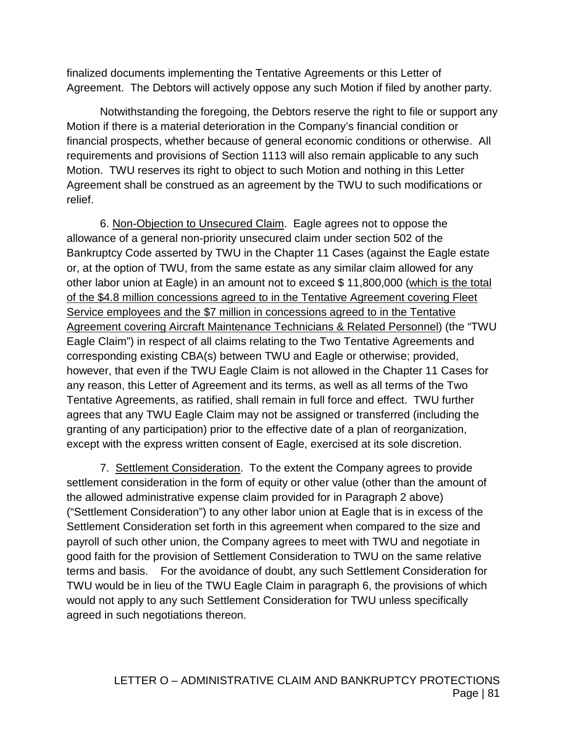finalized documents implementing the Tentative Agreements or this Letter of Agreement. The Debtors will actively oppose any such Motion if filed by another party.

Notwithstanding the foregoing, the Debtors reserve the right to file or support any Motion if there is a material deterioration in the Company's financial condition or financial prospects, whether because of general economic conditions or otherwise. All requirements and provisions of Section 1113 will also remain applicable to any such Motion. TWU reserves its right to object to such Motion and nothing in this Letter Agreement shall be construed as an agreement by the TWU to such modifications or relief.

6. Non-Objection to Unsecured Claim. Eagle agrees not to oppose the allowance of a general non-priority unsecured claim under section 502 of the Bankruptcy Code asserted by TWU in the Chapter 11 Cases (against the Eagle estate or, at the option of TWU, from the same estate as any similar claim allowed for any other labor union at Eagle) in an amount not to exceed \$ 11,800,000 (which is the total of the \$4.8 million concessions agreed to in the Tentative Agreement covering Fleet Service employees and the \$7 million in concessions agreed to in the Tentative Agreement covering Aircraft Maintenance Technicians & Related Personnel) (the "TWU Eagle Claim") in respect of all claims relating to the Two Tentative Agreements and corresponding existing CBA(s) between TWU and Eagle or otherwise; provided, however, that even if the TWU Eagle Claim is not allowed in the Chapter 11 Cases for any reason, this Letter of Agreement and its terms, as well as all terms of the Two Tentative Agreements, as ratified, shall remain in full force and effect. TWU further agrees that any TWU Eagle Claim may not be assigned or transferred (including the granting of any participation) prior to the effective date of a plan of reorganization, except with the express written consent of Eagle, exercised at its sole discretion.

7. Settlement Consideration. To the extent the Company agrees to provide settlement consideration in the form of equity or other value (other than the amount of the allowed administrative expense claim provided for in Paragraph 2 above) ("Settlement Consideration") to any other labor union at Eagle that is in excess of the Settlement Consideration set forth in this agreement when compared to the size and payroll of such other union, the Company agrees to meet with TWU and negotiate in good faith for the provision of Settlement Consideration to TWU on the same relative terms and basis. For the avoidance of doubt, any such Settlement Consideration for TWU would be in lieu of the TWU Eagle Claim in paragraph 6, the provisions of which would not apply to any such Settlement Consideration for TWU unless specifically agreed in such negotiations thereon.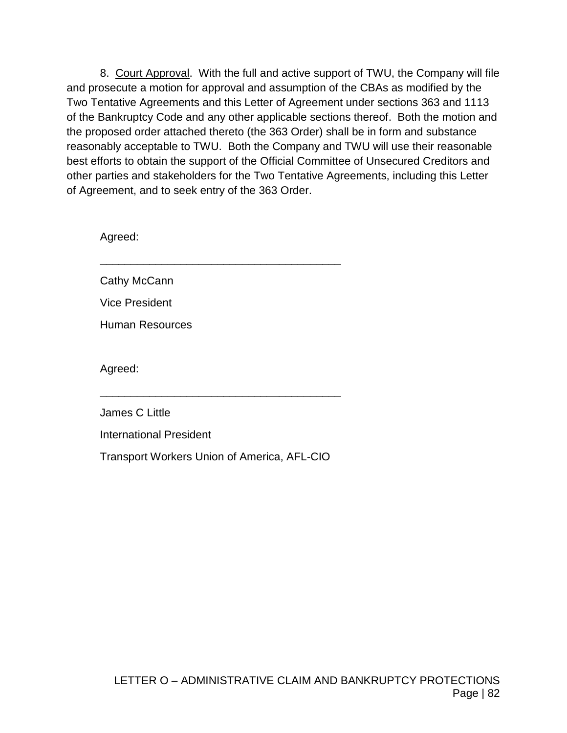8. Court Approval. With the full and active support of TWU, the Company will file and prosecute a motion for approval and assumption of the CBAs as modified by the Two Tentative Agreements and this Letter of Agreement under sections 363 and 1113 of the Bankruptcy Code and any other applicable sections thereof. Both the motion and the proposed order attached thereto (the 363 Order) shall be in form and substance reasonably acceptable to TWU. Both the Company and TWU will use their reasonable best efforts to obtain the support of the Official Committee of Unsecured Creditors and other parties and stakeholders for the Two Tentative Agreements, including this Letter of Agreement, and to seek entry of the 363 Order.

Agreed:

Cathy McCann

Vice President

Human Resources

Agreed:

James C Little

International President

Transport Workers Union of America, AFL-CIO

\_\_\_\_\_\_\_\_\_\_\_\_\_\_\_\_\_\_\_\_\_\_\_\_\_\_\_\_\_\_\_\_\_\_\_\_\_\_\_

\_\_\_\_\_\_\_\_\_\_\_\_\_\_\_\_\_\_\_\_\_\_\_\_\_\_\_\_\_\_\_\_\_\_\_\_\_\_\_